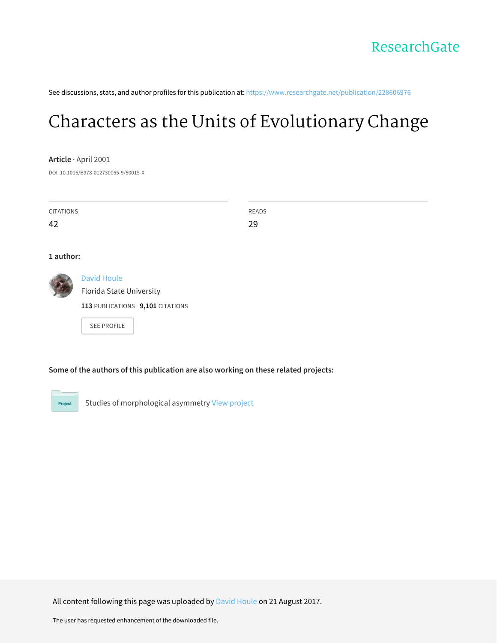See discussions, stats, and author profiles for this publication at: [https://www.researchgate.net/publication/228606976](https://www.researchgate.net/publication/228606976_Characters_as_the_Units_of_Evolutionary_Change?enrichId=rgreq-fcfbb8938fca14e1d904bbedbeb21023-XXX&enrichSource=Y292ZXJQYWdlOzIyODYwNjk3NjtBUzo5OTIwMzIzMzYxNTg4OEAxNDAwNjYzMzAyODg5&el=1_x_2&_esc=publicationCoverPdf)

# Characters as the Units of [Evolutionary](https://www.researchgate.net/publication/228606976_Characters_as_the_Units_of_Evolutionary_Change?enrichId=rgreq-fcfbb8938fca14e1d904bbedbeb21023-XXX&enrichSource=Y292ZXJQYWdlOzIyODYwNjk3NjtBUzo5OTIwMzIzMzYxNTg4OEAxNDAwNjYzMzAyODg5&el=1_x_3&_esc=publicationCoverPdf) Change

#### **Article** · April 2001

DOI: 10.1016/B978-012730055-9/50015-X

| <b>CITATIONS</b><br>42 | READS<br>29                                    |  |  |
|------------------------|------------------------------------------------|--|--|
|                        |                                                |  |  |
| 1 author:              |                                                |  |  |
|                        | <b>David Houle</b><br>Florida State University |  |  |
|                        | 113 PUBLICATIONS 9,101 CITATIONS               |  |  |
|                        | <b>SEE PROFILE</b>                             |  |  |

#### **Some of the authors of this publication are also working on these related projects:**

Project

Studies of morphological asymmetry View [project](https://www.researchgate.net/project/Studies-of-morphological-asymmetry?enrichId=rgreq-fcfbb8938fca14e1d904bbedbeb21023-XXX&enrichSource=Y292ZXJQYWdlOzIyODYwNjk3NjtBUzo5OTIwMzIzMzYxNTg4OEAxNDAwNjYzMzAyODg5&el=1_x_9&_esc=publicationCoverPdf)

All content following this page was uploaded by David [Houle](https://www.researchgate.net/profile/David_Houle?enrichId=rgreq-fcfbb8938fca14e1d904bbedbeb21023-XXX&enrichSource=Y292ZXJQYWdlOzIyODYwNjk3NjtBUzo5OTIwMzIzMzYxNTg4OEAxNDAwNjYzMzAyODg5&el=1_x_10&_esc=publicationCoverPdf) on 21 August 2017.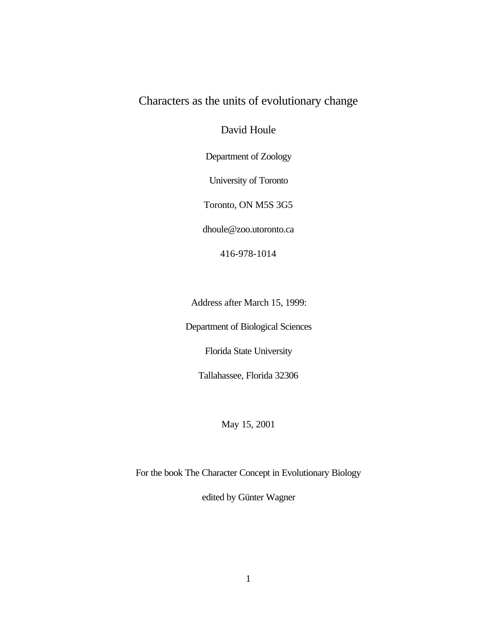# Characters as the units of evolutionary change

David Houle

Department of Zoology

University of Toronto

Toronto, ON M5S 3G5

dhoule@zoo.utoronto.ca

416-978-1014

Address after March 15, 1999:

Department of Biological Sciences

Florida State University

Tallahassee, Florida 32306

May 15, 2001

For the book The Character Concept in Evolutionary Biology

edited by Günter Wagner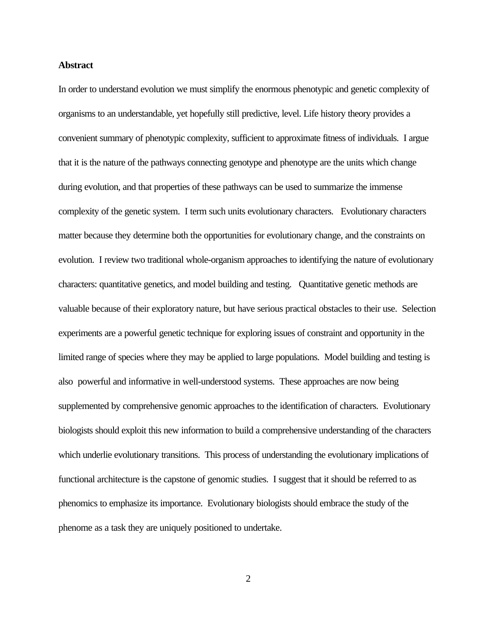#### **Abstract**

In order to understand evolution we must simplify the enormous phenotypic and genetic complexity of organisms to an understandable, yet hopefully still predictive, level. Life history theory provides a convenient summary of phenotypic complexity, sufficient to approximate fitness of individuals. I argue that it is the nature of the pathways connecting genotype and phenotype are the units which change during evolution, and that properties of these pathways can be used to summarize the immense complexity of the genetic system. I term such units evolutionary characters. Evolutionary characters matter because they determine both the opportunities for evolutionary change, and the constraints on evolution. I review two traditional whole-organism approaches to identifying the nature of evolutionary characters: quantitative genetics, and model building and testing. Quantitative genetic methods are valuable because of their exploratory nature, but have serious practical obstacles to their use. Selection experiments are a powerful genetic technique for exploring issues of constraint and opportunity in the limited range of species where they may be applied to large populations. Model building and testing is also powerful and informative in well-understood systems. These approaches are now being supplemented by comprehensive genomic approaches to the identification of characters. Evolutionary biologists should exploit this new information to build a comprehensive understanding of the characters which underlie evolutionary transitions. This process of understanding the evolutionary implications of functional architecture is the capstone of genomic studies. I suggest that it should be referred to as phenomics to emphasize its importance. Evolutionary biologists should embrace the study of the phenome as a task they are uniquely positioned to undertake.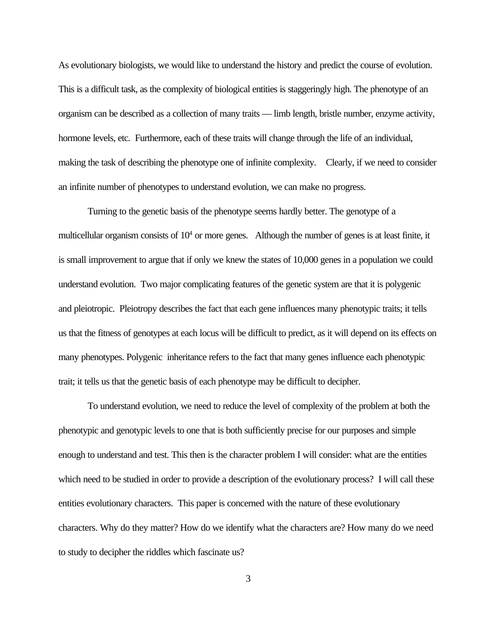As evolutionary biologists, we would like to understand the history and predict the course of evolution. This is a difficult task, as the complexity of biological entities is staggeringly high. The phenotype of an organism can be described as a collection of many traits — limb length, bristle number, enzyme activity, hormone levels, etc. Furthermore, each of these traits will change through the life of an individual, making the task of describing the phenotype one of infinite complexity. Clearly, if we need to consider an infinite number of phenotypes to understand evolution, we can make no progress.

Turning to the genetic basis of the phenotype seems hardly better. The genotype of a multicellular organism consists of  $10<sup>4</sup>$  or more genes. Although the number of genes is at least finite, it is small improvement to argue that if only we knew the states of 10,000 genes in a population we could understand evolution. Two major complicating features of the genetic system are that it is polygenic and pleiotropic. Pleiotropy describes the fact that each gene influences many phenotypic traits; it tells us that the fitness of genotypes at each locus will be difficult to predict, as it will depend on its effects on many phenotypes. Polygenic inheritance refers to the fact that many genes influence each phenotypic trait; it tells us that the genetic basis of each phenotype may be difficult to decipher.

To understand evolution, we need to reduce the level of complexity of the problem at both the phenotypic and genotypic levels to one that is both sufficiently precise for our purposes and simple enough to understand and test. This then is the character problem I will consider: what are the entities which need to be studied in order to provide a description of the evolutionary process? I will call these entities evolutionary characters. This paper is concerned with the nature of these evolutionary characters. Why do they matter? How do we identify what the characters are? How many do we need to study to decipher the riddles which fascinate us?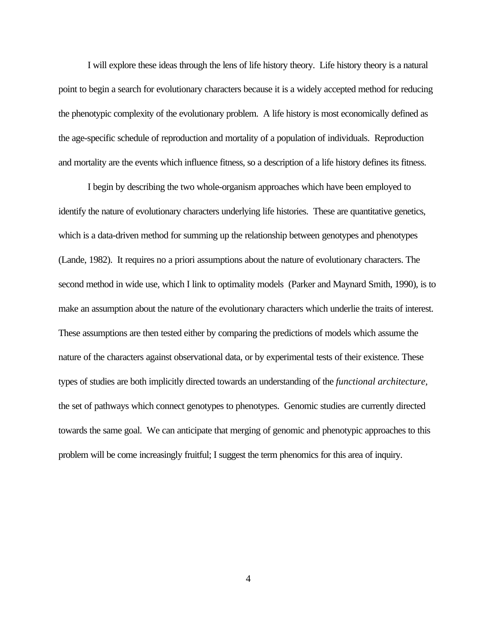I will explore these ideas through the lens of life history theory. Life history theory is a natural point to begin a search for evolutionary characters because it is a widely accepted method for reducing the phenotypic complexity of the evolutionary problem. A life history is most economically defined as the age-specific schedule of reproduction and mortality of a population of individuals. Reproduction and mortality are the events which influence fitness, so a description of a life history defines its fitness.

I begin by describing the two whole-organism approaches which have been employed to identify the nature of evolutionary characters underlying life histories. These are quantitative genetics, which is a data-driven method for summing up the relationship between genotypes and phenotypes (Lande, 1982). It requires no a priori assumptions about the nature of evolutionary characters. The second method in wide use, which I link to optimality models (Parker and Maynard Smith, 1990), is to make an assumption about the nature of the evolutionary characters which underlie the traits of interest. These assumptions are then tested either by comparing the predictions of models which assume the nature of the characters against observational data, or by experimental tests of their existence. These types of studies are both implicitly directed towards an understanding of the *functional architecture,* the set of pathways which connect genotypes to phenotypes. Genomic studies are currently directed towards the same goal. We can anticipate that merging of genomic and phenotypic approaches to this problem will be come increasingly fruitful; I suggest the term phenomics for this area of inquiry.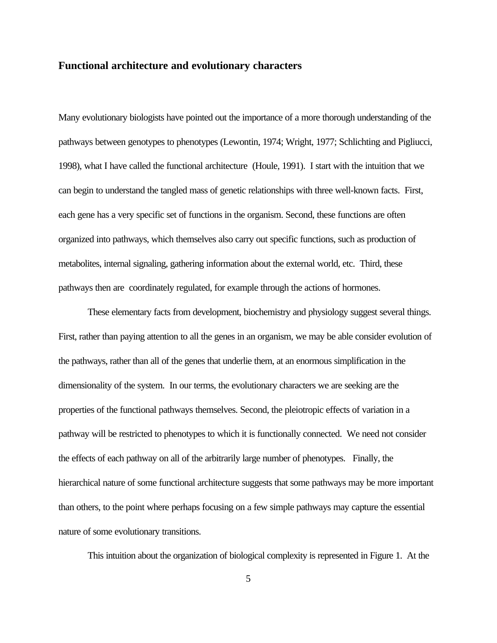#### **Functional architecture and evolutionary characters**

Many evolutionary biologists have pointed out the importance of a more thorough understanding of the pathways between genotypes to phenotypes (Lewontin, 1974; Wright, 1977; Schlichting and Pigliucci, 1998), what I have called the functional architecture (Houle, 1991). I start with the intuition that we can begin to understand the tangled mass of genetic relationships with three well-known facts. First, each gene has a very specific set of functions in the organism. Second, these functions are often organized into pathways, which themselves also carry out specific functions, such as production of metabolites, internal signaling, gathering information about the external world, etc. Third, these pathways then are coordinately regulated, for example through the actions of hormones.

These elementary facts from development, biochemistry and physiology suggest several things. First, rather than paying attention to all the genes in an organism, we may be able consider evolution of the pathways, rather than all of the genes that underlie them, at an enormous simplification in the dimensionality of the system. In our terms, the evolutionary characters we are seeking are the properties of the functional pathways themselves. Second, the pleiotropic effects of variation in a pathway will be restricted to phenotypes to which it is functionally connected. We need not consider the effects of each pathway on all of the arbitrarily large number of phenotypes. Finally, the hierarchical nature of some functional architecture suggests that some pathways may be more important than others, to the point where perhaps focusing on a few simple pathways may capture the essential nature of some evolutionary transitions.

This intuition about the organization of biological complexity is represented in Figure 1. At the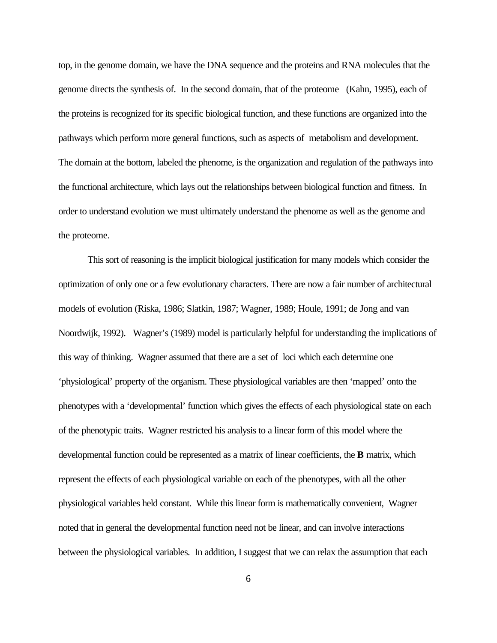top, in the genome domain, we have the DNA sequence and the proteins and RNA molecules that the genome directs the synthesis of. In the second domain, that of the proteome (Kahn, 1995), each of the proteins is recognized for its specific biological function, and these functions are organized into the pathways which perform more general functions, such as aspects of metabolism and development. The domain at the bottom, labeled the phenome, is the organization and regulation of the pathways into the functional architecture, which lays out the relationships between biological function and fitness. In order to understand evolution we must ultimately understand the phenome as well as the genome and the proteome.

This sort of reasoning is the implicit biological justification for many models which consider the optimization of only one or a few evolutionary characters. There are now a fair number of architectural models of evolution (Riska, 1986; Slatkin, 1987; Wagner, 1989; Houle, 1991; de Jong and van Noordwijk, 1992). Wagner's (1989) model is particularly helpful for understanding the implications of this way of thinking. Wagner assumed that there are a set of loci which each determine one 'physiological' property of the organism. These physiological variables are then 'mapped' onto the phenotypes with a 'developmental' function which gives the effects of each physiological state on each of the phenotypic traits. Wagner restricted his analysis to a linear form of this model where the developmental function could be represented as a matrix of linear coefficients, the **B** matrix, which represent the effects of each physiological variable on each of the phenotypes, with all the other physiological variables held constant. While this linear form is mathematically convenient, Wagner noted that in general the developmental function need not be linear, and can involve interactions between the physiological variables. In addition, I suggest that we can relax the assumption that each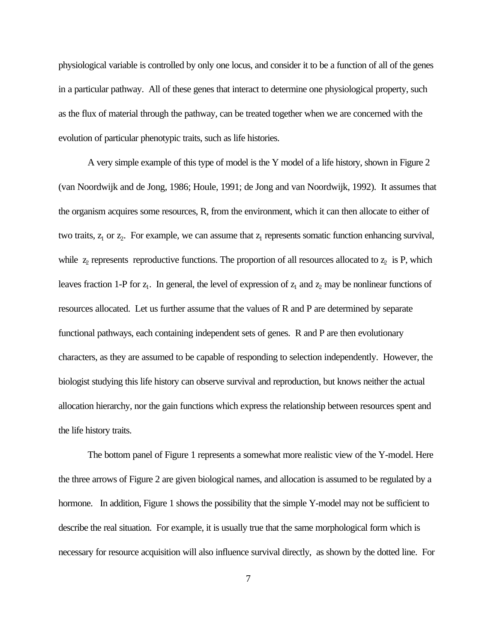physiological variable is controlled by only one locus, and consider it to be a function of all of the genes in a particular pathway. All of these genes that interact to determine one physiological property, such as the flux of material through the pathway, can be treated together when we are concerned with the evolution of particular phenotypic traits, such as life histories.

A very simple example of this type of model is the Y model of a life history, shown in Figure 2 (van Noordwijk and de Jong, 1986; Houle, 1991; de Jong and van Noordwijk, 1992). It assumes that the organism acquires some resources, R, from the environment, which it can then allocate to either of two traits,  $z_1$  or  $z_2$ . For example, we can assume that  $z_1$  represents somatic function enhancing survival, while  $z_2$  represents reproductive functions. The proportion of all resources allocated to  $z_2$  is P, which leaves fraction 1-P for  $z_1$ . In general, the level of expression of  $z_1$  and  $z_2$  may be nonlinear functions of resources allocated. Let us further assume that the values of R and P are determined by separate functional pathways, each containing independent sets of genes. R and P are then evolutionary characters, as they are assumed to be capable of responding to selection independently. However, the biologist studying this life history can observe survival and reproduction, but knows neither the actual allocation hierarchy, nor the gain functions which express the relationship between resources spent and the life history traits.

The bottom panel of Figure 1 represents a somewhat more realistic view of the Y-model. Here the three arrows of Figure 2 are given biological names, and allocation is assumed to be regulated by a hormone. In addition, Figure 1 shows the possibility that the simple Y-model may not be sufficient to describe the real situation. For example, it is usually true that the same morphological form which is necessary for resource acquisition will also influence survival directly, as shown by the dotted line. For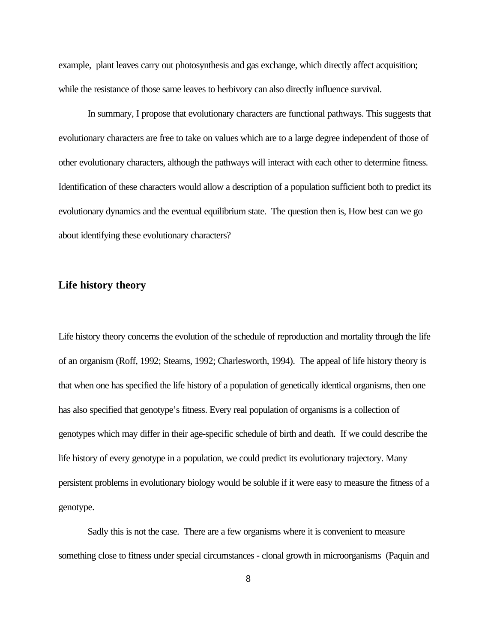example, plant leaves carry out photosynthesis and gas exchange, which directly affect acquisition; while the resistance of those same leaves to herbivory can also directly influence survival.

In summary, I propose that evolutionary characters are functional pathways. This suggests that evolutionary characters are free to take on values which are to a large degree independent of those of other evolutionary characters, although the pathways will interact with each other to determine fitness. Identification of these characters would allow a description of a population sufficient both to predict its evolutionary dynamics and the eventual equilibrium state. The question then is, How best can we go about identifying these evolutionary characters?

# **Life history theory**

Life history theory concerns the evolution of the schedule of reproduction and mortality through the life of an organism (Roff, 1992; Stearns, 1992; Charlesworth, 1994). The appeal of life history theory is that when one has specified the life history of a population of genetically identical organisms, then one has also specified that genotype's fitness. Every real population of organisms is a collection of genotypes which may differ in their age-specific schedule of birth and death. If we could describe the life history of every genotype in a population, we could predict its evolutionary trajectory. Many persistent problems in evolutionary biology would be soluble if it were easy to measure the fitness of a genotype.

Sadly this is not the case. There are a few organisms where it is convenient to measure something close to fitness under special circumstances - clonal growth in microorganisms (Paquin and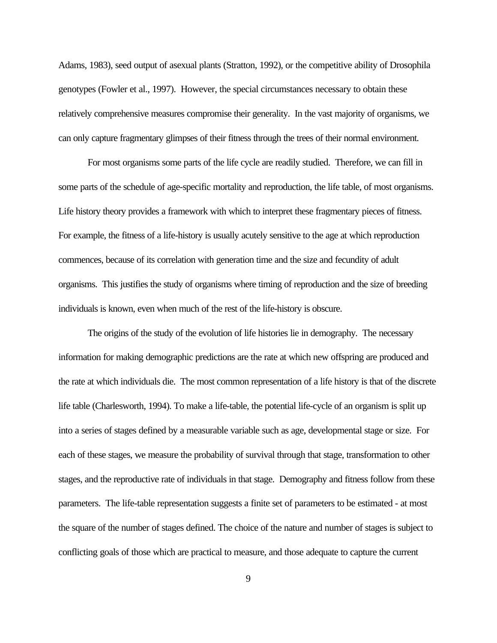Adams, 1983), seed output of asexual plants (Stratton, 1992), or the competitive ability of Drosophila genotypes (Fowler et al., 1997). However, the special circumstances necessary to obtain these relatively comprehensive measures compromise their generality. In the vast majority of organisms, we can only capture fragmentary glimpses of their fitness through the trees of their normal environment.

For most organisms some parts of the life cycle are readily studied. Therefore, we can fill in some parts of the schedule of age-specific mortality and reproduction, the life table, of most organisms. Life history theory provides a framework with which to interpret these fragmentary pieces of fitness. For example, the fitness of a life-history is usually acutely sensitive to the age at which reproduction commences, because of its correlation with generation time and the size and fecundity of adult organisms. This justifies the study of organisms where timing of reproduction and the size of breeding individuals is known, even when much of the rest of the life-history is obscure.

The origins of the study of the evolution of life histories lie in demography. The necessary information for making demographic predictions are the rate at which new offspring are produced and the rate at which individuals die. The most common representation of a life history is that of the discrete life table (Charlesworth, 1994). To make a life-table, the potential life-cycle of an organism is split up into a series of stages defined by a measurable variable such as age, developmental stage or size. For each of these stages, we measure the probability of survival through that stage, transformation to other stages, and the reproductive rate of individuals in that stage. Demography and fitness follow from these parameters. The life-table representation suggests a finite set of parameters to be estimated - at most the square of the number of stages defined. The choice of the nature and number of stages is subject to conflicting goals of those which are practical to measure, and those adequate to capture the current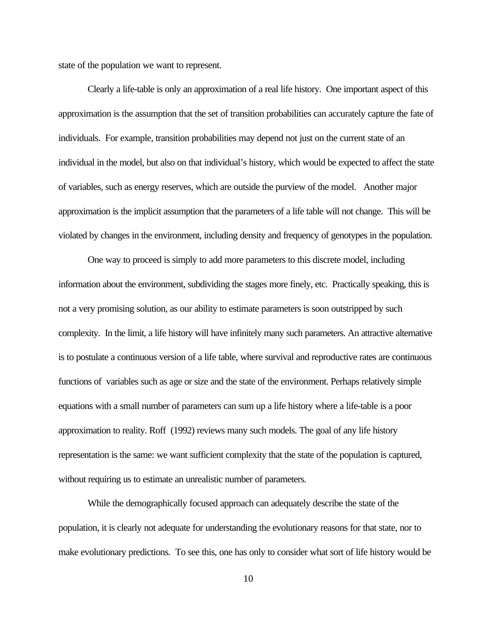state of the population we want to represent.

Clearly a life-table is only an approximation of a real life history. One important aspect of this approximation is the assumption that the set of transition probabilities can accurately capture the fate of individuals. For example, transition probabilities may depend not just on the current state of an individual in the model, but also on that individual's history, which would be expected to affect the state of variables, such as energy reserves, which are outside the purview of the model. Another major approximation is the implicit assumption that the parameters of a life table will not change. This will be violated by changes in the environment, including density and frequency of genotypes in the population.

One way to proceed is simply to add more parameters to this discrete model, including information about the environment, subdividing the stages more finely, etc. Practically speaking, this is not a very promising solution, as our ability to estimate parameters is soon outstripped by such complexity. In the limit, a life history will have infinitely many such parameters. An attractive alternative is to postulate a continuous version of a life table, where survival and reproductive rates are continuous functions of variables such as age or size and the state of the environment. Perhaps relatively simple equations with a small number of parameters can sum up a life history where a life-table is a poor approximation to reality. Roff (1992) reviews many such models. The goal of any life history representation is the same: we want sufficient complexity that the state of the population is captured, without requiring us to estimate an unrealistic number of parameters.

While the demographically focused approach can adequately describe the state of the population, it is clearly not adequate for understanding the evolutionary reasons for that state, nor to make evolutionary predictions. To see this, one has only to consider what sort of life history would be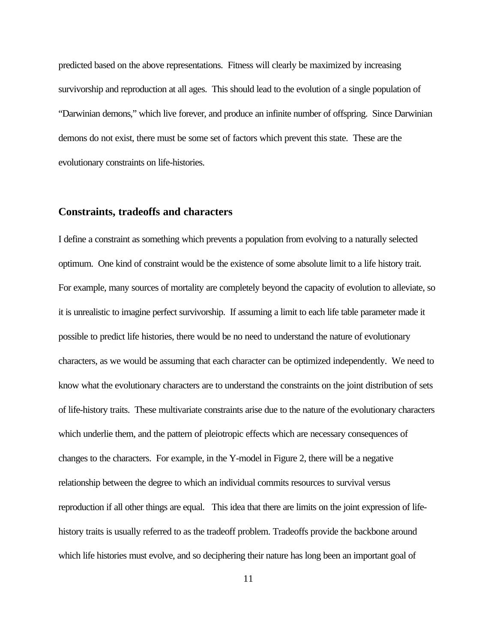predicted based on the above representations. Fitness will clearly be maximized by increasing survivorship and reproduction at all ages. This should lead to the evolution of a single population of "Darwinian demons," which live forever, and produce an infinite number of offspring. Since Darwinian demons do not exist, there must be some set of factors which prevent this state. These are the evolutionary constraints on life-histories.

#### **Constraints, tradeoffs and characters**

I define a constraint as something which prevents a population from evolving to a naturally selected optimum. One kind of constraint would be the existence of some absolute limit to a life history trait. For example, many sources of mortality are completely beyond the capacity of evolution to alleviate, so it is unrealistic to imagine perfect survivorship. If assuming a limit to each life table parameter made it possible to predict life histories, there would be no need to understand the nature of evolutionary characters, as we would be assuming that each character can be optimized independently. We need to know what the evolutionary characters are to understand the constraints on the joint distribution of sets of life-history traits. These multivariate constraints arise due to the nature of the evolutionary characters which underlie them, and the pattern of pleiotropic effects which are necessary consequences of changes to the characters. For example, in the Y-model in Figure 2, there will be a negative relationship between the degree to which an individual commits resources to survival versus reproduction if all other things are equal. This idea that there are limits on the joint expression of lifehistory traits is usually referred to as the tradeoff problem. Tradeoffs provide the backbone around which life histories must evolve, and so deciphering their nature has long been an important goal of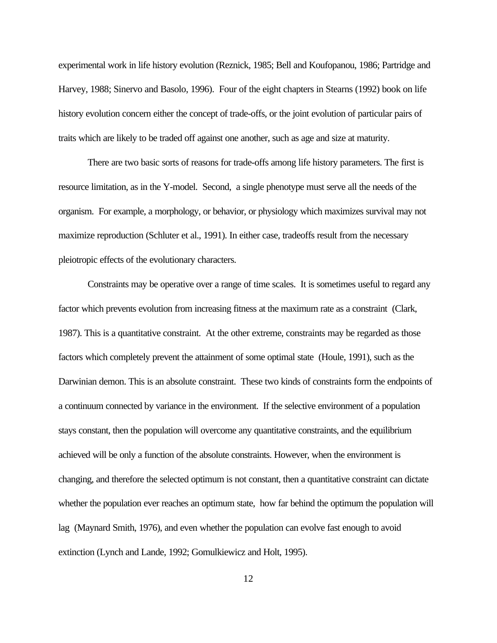experimental work in life history evolution (Reznick, 1985; Bell and Koufopanou, 1986; Partridge and Harvey, 1988; Sinervo and Basolo, 1996). Four of the eight chapters in Stearns (1992) book on life history evolution concern either the concept of trade-offs, or the joint evolution of particular pairs of traits which are likely to be traded off against one another, such as age and size at maturity.

There are two basic sorts of reasons for trade-offs among life history parameters. The first is resource limitation, as in the Y-model. Second, a single phenotype must serve all the needs of the organism. For example, a morphology, or behavior, or physiology which maximizes survival may not maximize reproduction (Schluter et al., 1991). In either case, tradeoffs result from the necessary pleiotropic effects of the evolutionary characters.

Constraints may be operative over a range of time scales. It is sometimes useful to regard any factor which prevents evolution from increasing fitness at the maximum rate as a constraint (Clark, 1987). This is a quantitative constraint. At the other extreme, constraints may be regarded as those factors which completely prevent the attainment of some optimal state (Houle, 1991), such as the Darwinian demon. This is an absolute constraint. These two kinds of constraints form the endpoints of a continuum connected by variance in the environment. If the selective environment of a population stays constant, then the population will overcome any quantitative constraints, and the equilibrium achieved will be only a function of the absolute constraints. However, when the environment is changing, and therefore the selected optimum is not constant, then a quantitative constraint can dictate whether the population ever reaches an optimum state, how far behind the optimum the population will lag (Maynard Smith, 1976), and even whether the population can evolve fast enough to avoid extinction (Lynch and Lande, 1992; Gomulkiewicz and Holt, 1995).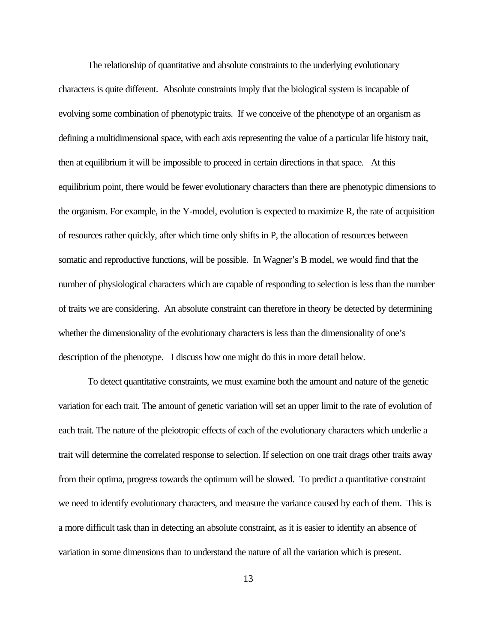The relationship of quantitative and absolute constraints to the underlying evolutionary characters is quite different. Absolute constraints imply that the biological system is incapable of evolving some combination of phenotypic traits. If we conceive of the phenotype of an organism as defining a multidimensional space, with each axis representing the value of a particular life history trait, then at equilibrium it will be impossible to proceed in certain directions in that space. At this equilibrium point, there would be fewer evolutionary characters than there are phenotypic dimensions to the organism. For example, in the Y-model, evolution is expected to maximize R, the rate of acquisition of resources rather quickly, after which time only shifts in P, the allocation of resources between somatic and reproductive functions, will be possible. In Wagner's B model, we would find that the number of physiological characters which are capable of responding to selection is less than the number of traits we are considering. An absolute constraint can therefore in theory be detected by determining whether the dimensionality of the evolutionary characters is less than the dimensionality of one's description of the phenotype. I discuss how one might do this in more detail below.

To detect quantitative constraints, we must examine both the amount and nature of the genetic variation for each trait. The amount of genetic variation will set an upper limit to the rate of evolution of each trait. The nature of the pleiotropic effects of each of the evolutionary characters which underlie a trait will determine the correlated response to selection. If selection on one trait drags other traits away from their optima, progress towards the optimum will be slowed. To predict a quantitative constraint we need to identify evolutionary characters, and measure the variance caused by each of them. This is a more difficult task than in detecting an absolute constraint, as it is easier to identify an absence of variation in some dimensions than to understand the nature of all the variation which is present.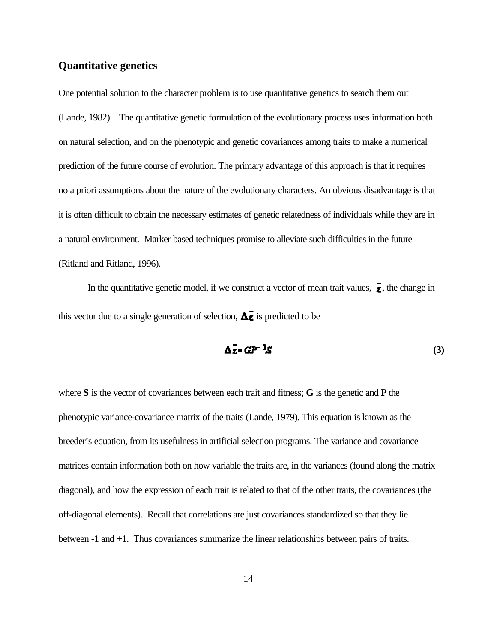# **Quantitative genetics**

One potential solution to the character problem is to use quantitative genetics to search them out (Lande, 1982). The quantitative genetic formulation of the evolutionary process uses information both on natural selection, and on the phenotypic and genetic covariances among traits to make a numerical prediction of the future course of evolution. The primary advantage of this approach is that it requires no a priori assumptions about the nature of the evolutionary characters. An obvious disadvantage is that it is often difficult to obtain the necessary estimates of genetic relatedness of individuals while they are in a natural environment. Marker based techniques promise to alleviate such difficulties in the future (Ritland and Ritland, 1996).

In the quantitative genetic model, if we construct a vector of mean trait values,  $\bar{z}$ , the change in this vector due to a single generation of selection,  $\Delta \bar{z}$  is predicted to be

$$
\Delta z = GP^{-1}S \tag{3}
$$

where **S** is the vector of covariances between each trait and fitness; **G** is the genetic and **P** the phenotypic variance-covariance matrix of the traits (Lande, 1979). This equation is known as the breeder's equation, from its usefulness in artificial selection programs. The variance and covariance matrices contain information both on how variable the traits are, in the variances (found along the matrix diagonal), and how the expression of each trait is related to that of the other traits, the covariances (the off-diagonal elements). Recall that correlations are just covariances standardized so that they lie between -1 and +1. Thus covariances summarize the linear relationships between pairs of traits.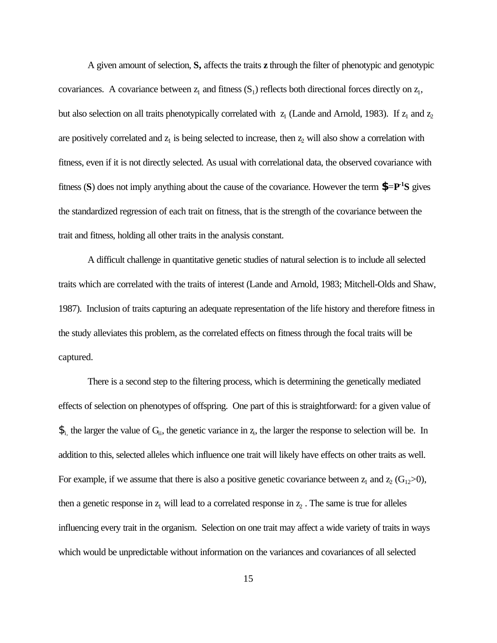A given amount of selection, **S,** affects the traits **z** through the filter of phenotypic and genotypic covariances. A covariance between  $z_1$  and fitness  $(S_1)$  reflects both directional forces directly on  $z_1$ , but also selection on all traits phenotypically correlated with  $z_1$  (Lande and Arnold, 1983). If  $z_1$  and  $z_2$ are positively correlated and  $z_1$  is being selected to increase, then  $z_2$  will also show a correlation with fitness, even if it is not directly selected. As usual with correlational data, the observed covariance with fitness (**S**) does not imply anything about the cause of the covariance. However the term **\$**=**P -1S** gives the standardized regression of each trait on fitness, that is the strength of the covariance between the trait and fitness, holding all other traits in the analysis constant.

A difficult challenge in quantitative genetic studies of natural selection is to include all selected traits which are correlated with the traits of interest (Lande and Arnold, 1983; Mitchell-Olds and Shaw, 1987). Inclusion of traits capturing an adequate representation of the life history and therefore fitness in the study alleviates this problem, as the correlated effects on fitness through the focal traits will be captured.

There is a second step to the filtering process, which is determining the genetically mediated effects of selection on phenotypes of offspring. One part of this is straightforward: for a given value of  $\hat{\mathbf{s}}_{i}$ , the larger the value of  $G_{ii}$ , the genetic variance in  $z_i$ , the larger the response to selection will be. In addition to this, selected alleles which influence one trait will likely have effects on other traits as well. For example, if we assume that there is also a positive genetic covariance between  $z_1$  and  $z_2$  (G<sub>12</sub>>0), then a genetic response in  $z_1$  will lead to a correlated response in  $z_2$ . The same is true for alleles influencing every trait in the organism. Selection on one trait may affect a wide variety of traits in ways which would be unpredictable without information on the variances and covariances of all selected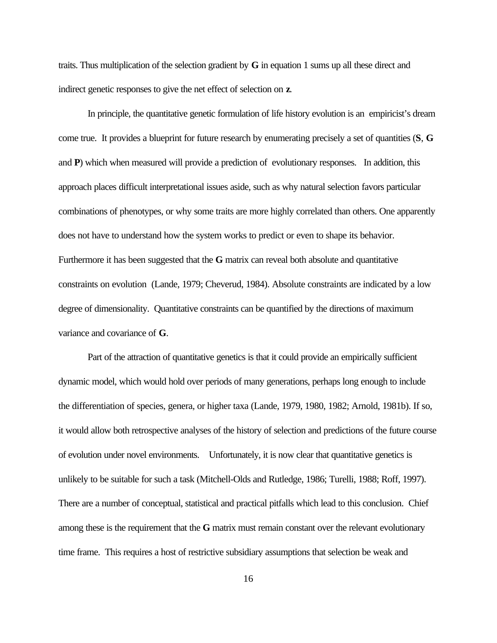traits. Thus multiplication of the selection gradient by **G** in equation 1 sums up all these direct and indirect genetic responses to give the net effect of selection on **z**.

In principle, the quantitative genetic formulation of life history evolution is an empiricist's dream come true. It provides a blueprint for future research by enumerating precisely a set of quantities (**S**, **G** and **P**) which when measured will provide a prediction of evolutionary responses. In addition, this approach places difficult interpretational issues aside, such as why natural selection favors particular combinations of phenotypes, or why some traits are more highly correlated than others. One apparently does not have to understand how the system works to predict or even to shape its behavior. Furthermore it has been suggested that the **G** matrix can reveal both absolute and quantitative constraints on evolution (Lande, 1979; Cheverud, 1984). Absolute constraints are indicated by a low degree of dimensionality. Quantitative constraints can be quantified by the directions of maximum variance and covariance of **G**.

Part of the attraction of quantitative genetics is that it could provide an empirically sufficient dynamic model, which would hold over periods of many generations, perhaps long enough to include the differentiation of species, genera, or higher taxa (Lande, 1979, 1980, 1982; Arnold, 1981b). If so, it would allow both retrospective analyses of the history of selection and predictions of the future course of evolution under novel environments. Unfortunately, it is now clear that quantitative genetics is unlikely to be suitable for such a task (Mitchell-Olds and Rutledge, 1986; Turelli, 1988; Roff, 1997). There are a number of conceptual, statistical and practical pitfalls which lead to this conclusion. Chief among these is the requirement that the **G** matrix must remain constant over the relevant evolutionary time frame. This requires a host of restrictive subsidiary assumptions that selection be weak and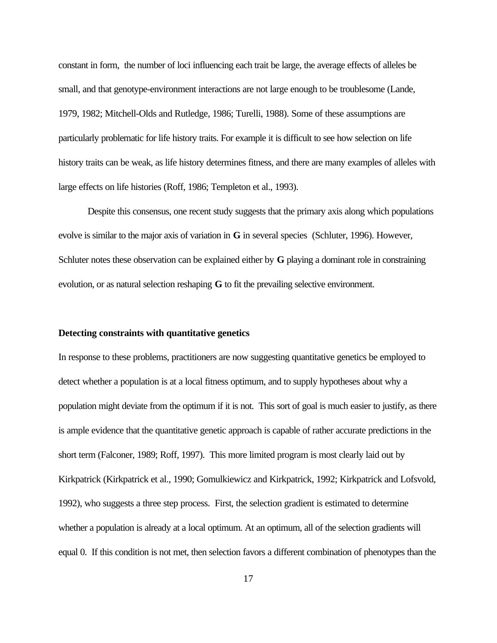constant in form, the number of loci influencing each trait be large, the average effects of alleles be small, and that genotype-environment interactions are not large enough to be troublesome (Lande, 1979, 1982; Mitchell-Olds and Rutledge, 1986; Turelli, 1988). Some of these assumptions are particularly problematic for life history traits. For example it is difficult to see how selection on life history traits can be weak, as life history determines fitness, and there are many examples of alleles with large effects on life histories (Roff, 1986; Templeton et al., 1993).

Despite this consensus, one recent study suggests that the primary axis along which populations evolve is similar to the major axis of variation in **G** in several species (Schluter, 1996). However, Schluter notes these observation can be explained either by **G** playing a dominant role in constraining evolution, or as natural selection reshaping **G** to fit the prevailing selective environment.

#### **Detecting constraints with quantitative genetics**

In response to these problems, practitioners are now suggesting quantitative genetics be employed to detect whether a population is at a local fitness optimum, and to supply hypotheses about why a population might deviate from the optimum if it is not. This sort of goal is much easier to justify, as there is ample evidence that the quantitative genetic approach is capable of rather accurate predictions in the short term (Falconer, 1989; Roff, 1997). This more limited program is most clearly laid out by Kirkpatrick (Kirkpatrick et al., 1990; Gomulkiewicz and Kirkpatrick, 1992; Kirkpatrick and Lofsvold, 1992), who suggests a three step process. First, the selection gradient is estimated to determine whether a population is already at a local optimum. At an optimum, all of the selection gradients will equal 0. If this condition is not met, then selection favors a different combination of phenotypes than the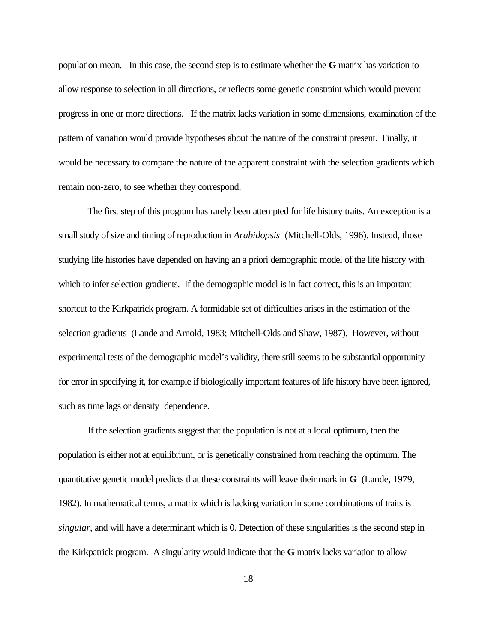population mean. In this case, the second step is to estimate whether the **G** matrix has variation to allow response to selection in all directions, or reflects some genetic constraint which would prevent progress in one or more directions. If the matrix lacks variation in some dimensions, examination of the pattern of variation would provide hypotheses about the nature of the constraint present. Finally, it would be necessary to compare the nature of the apparent constraint with the selection gradients which remain non-zero, to see whether they correspond.

The first step of this program has rarely been attempted for life history traits. An exception is a small study of size and timing of reproduction in *Arabidopsis* (Mitchell-Olds, 1996). Instead, those studying life histories have depended on having an a priori demographic model of the life history with which to infer selection gradients. If the demographic model is in fact correct, this is an important shortcut to the Kirkpatrick program. A formidable set of difficulties arises in the estimation of the selection gradients (Lande and Arnold, 1983; Mitchell-Olds and Shaw, 1987). However, without experimental tests of the demographic model's validity, there still seems to be substantial opportunity for error in specifying it, for example if biologically important features of life history have been ignored, such as time lags or density dependence.

If the selection gradients suggest that the population is not at a local optimum, then the population is either not at equilibrium, or is genetically constrained from reaching the optimum. The quantitative genetic model predicts that these constraints will leave their mark in **G** (Lande, 1979, 1982). In mathematical terms, a matrix which is lacking variation in some combinations of traits is *singular*, and will have a determinant which is 0. Detection of these singularities is the second step in the Kirkpatrick program. A singularity would indicate that the **G** matrix lacks variation to allow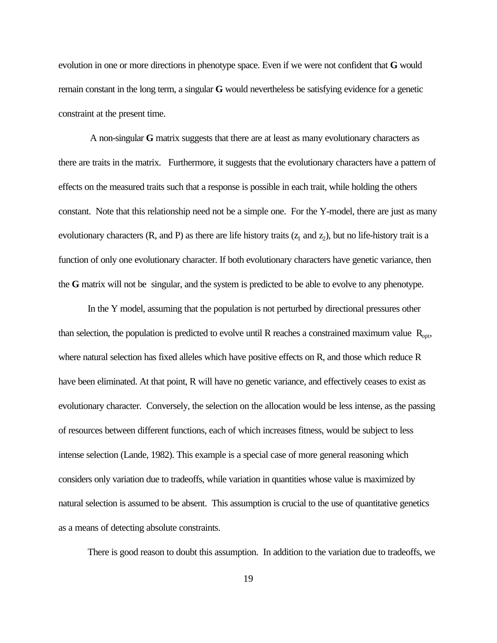evolution in one or more directions in phenotype space. Even if we were not confident that **G** would remain constant in the long term, a singular **G** would nevertheless be satisfying evidence for a genetic constraint at the present time.

 A non-singular **G** matrix suggests that there are at least as many evolutionary characters as there are traits in the matrix. Furthermore, it suggests that the evolutionary characters have a pattern of effects on the measured traits such that a response is possible in each trait, while holding the others constant. Note that this relationship need not be a simple one. For the Y-model, there are just as many evolutionary characters  $(R, and P)$  as there are life history traits  $(z_1 \text{ and } z_2)$ , but no life-history trait is a function of only one evolutionary character. If both evolutionary characters have genetic variance, then the **G** matrix will not be singular, and the system is predicted to be able to evolve to any phenotype.

In the Y model, assuming that the population is not perturbed by directional pressures other than selection, the population is predicted to evolve until R reaches a constrained maximum value  $R_{\text{oot}}$ , where natural selection has fixed alleles which have positive effects on R, and those which reduce R have been eliminated. At that point, R will have no genetic variance, and effectively ceases to exist as evolutionary character. Conversely, the selection on the allocation would be less intense, as the passing of resources between different functions, each of which increases fitness, would be subject to less intense selection (Lande, 1982). This example is a special case of more general reasoning which considers only variation due to tradeoffs, while variation in quantities whose value is maximized by natural selection is assumed to be absent. This assumption is crucial to the use of quantitative genetics as a means of detecting absolute constraints.

There is good reason to doubt this assumption. In addition to the variation due to tradeoffs, we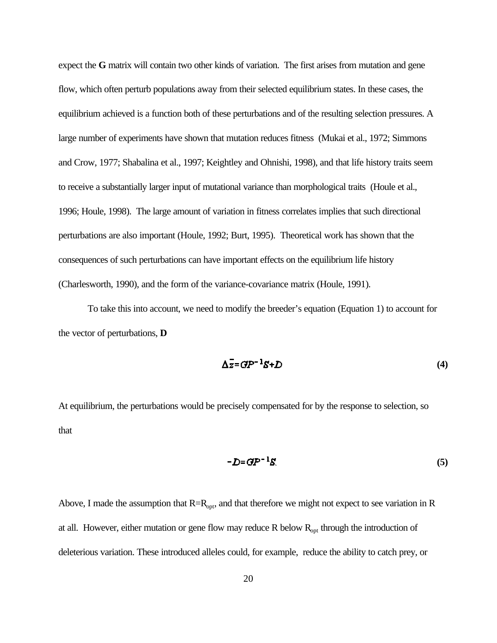expect the **G** matrix will contain two other kinds of variation. The first arises from mutation and gene flow, which often perturb populations away from their selected equilibrium states. In these cases, the equilibrium achieved is a function both of these perturbations and of the resulting selection pressures. A large number of experiments have shown that mutation reduces fitness (Mukai et al., 1972; Simmons and Crow, 1977; Shabalina et al., 1997; Keightley and Ohnishi, 1998), and that life history traits seem to receive a substantially larger input of mutational variance than morphological traits (Houle et al., 1996; Houle, 1998). The large amount of variation in fitness correlates implies that such directional perturbations are also important (Houle, 1992; Burt, 1995). Theoretical work has shown that the consequences of such perturbations can have important effects on the equilibrium life history (Charlesworth, 1990), and the form of the variance-covariance matrix (Houle, 1991).

To take this into account, we need to modify the breeder's equation (Equation 1) to account for the vector of perturbations, **D**

$$
\Delta \bar{z} = GP^{-1}S + D \tag{4}
$$

At equilibrium, the perturbations would be precisely compensated for by the response to selection, so that

$$
-D = GP^{-1}S.
$$
 (5)

Above, I made the assumption that  $R=R_{opt}$ , and that therefore we might not expect to see variation in R at all. However, either mutation or gene flow may reduce R below  $R_{opt}$  through the introduction of deleterious variation. These introduced alleles could, for example, reduce the ability to catch prey, or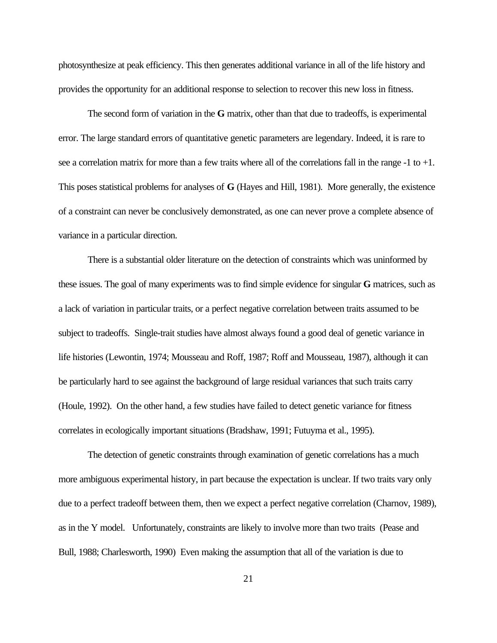photosynthesize at peak efficiency. This then generates additional variance in all of the life history and provides the opportunity for an additional response to selection to recover this new loss in fitness.

The second form of variation in the **G** matrix, other than that due to tradeoffs, is experimental error. The large standard errors of quantitative genetic parameters are legendary. Indeed, it is rare to see a correlation matrix for more than a few traits where all of the correlations fall in the range  $-1$  to  $+1$ . This poses statistical problems for analyses of **G** (Hayes and Hill, 1981). More generally, the existence of a constraint can never be conclusively demonstrated, as one can never prove a complete absence of variance in a particular direction.

There is a substantial older literature on the detection of constraints which was uninformed by these issues. The goal of many experiments was to find simple evidence for singular **G** matrices, such as a lack of variation in particular traits, or a perfect negative correlation between traits assumed to be subject to tradeoffs. Single-trait studies have almost always found a good deal of genetic variance in life histories (Lewontin, 1974; Mousseau and Roff, 1987; Roff and Mousseau, 1987), although it can be particularly hard to see against the background of large residual variances that such traits carry (Houle, 1992). On the other hand, a few studies have failed to detect genetic variance for fitness correlates in ecologically important situations (Bradshaw, 1991; Futuyma et al., 1995).

The detection of genetic constraints through examination of genetic correlations has a much more ambiguous experimental history, in part because the expectation is unclear. If two traits vary only due to a perfect tradeoff between them, then we expect a perfect negative correlation (Charnov, 1989), as in the Y model. Unfortunately, constraints are likely to involve more than two traits (Pease and Bull, 1988; Charlesworth, 1990) Even making the assumption that all of the variation is due to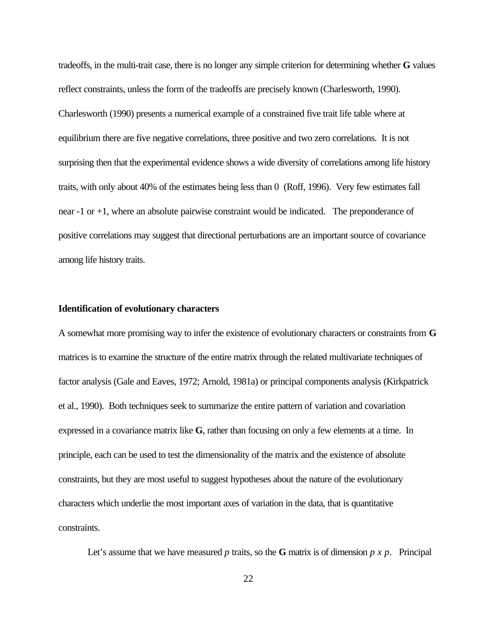tradeoffs, in the multi-trait case, there is no longer any simple criterion for determining whether **G** values reflect constraints, unless the form of the tradeoffs are precisely known (Charlesworth, 1990). Charlesworth (1990) presents a numerical example of a constrained five trait life table where at equilibrium there are five negative correlations, three positive and two zero correlations. It is not surprising then that the experimental evidence shows a wide diversity of correlations among life history traits, with only about 40% of the estimates being less than 0 (Roff, 1996). Very few estimates fall near -1 or +1, where an absolute pairwise constraint would be indicated. The preponderance of positive correlations may suggest that directional perturbations are an important source of covariance among life history traits.

#### **Identification of evolutionary characters**

A somewhat more promising way to infer the existence of evolutionary characters or constraints from **G** matrices is to examine the structure of the entire matrix through the related multivariate techniques of factor analysis (Gale and Eaves, 1972; Arnold, 1981a) or principal components analysis (Kirkpatrick et al., 1990). Both techniques seek to summarize the entire pattern of variation and covariation expressed in a covariance matrix like **G**, rather than focusing on only a few elements at a time. In principle, each can be used to test the dimensionality of the matrix and the existence of absolute constraints, but they are most useful to suggest hypotheses about the nature of the evolutionary characters which underlie the most important axes of variation in the data, that is quantitative constraints.

Let's assume that we have measured *p* traits, so the **G** matrix is of dimension *p x p*. Principal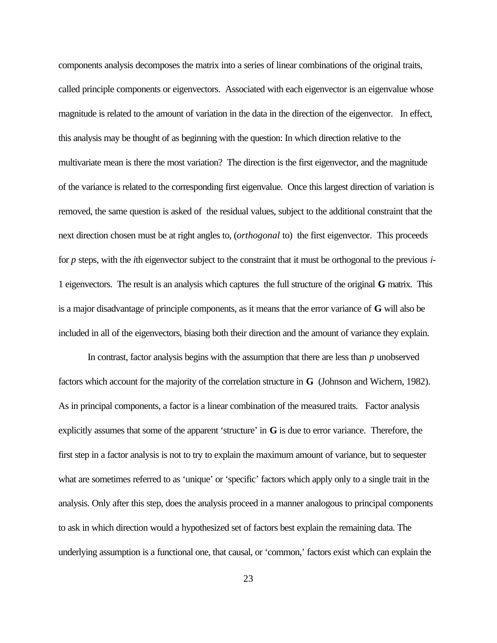components analysis decomposes the matrix into a series of linear combinations of the original traits, called principle components or eigenvectors. Associated with each eigenvector is an eigenvalue whose magnitude is related to the amount of variation in the data in the direction of the eigenvector. In effect, this analysis may be thought of as beginning with the question: In which direction relative to the multivariate mean is there the most variation? The direction is the first eigenvector, and the magnitude of the variance is related to the corresponding first eigenvalue. Once this largest direction of variation is removed, the same question is asked of the residual values, subject to the additional constraint that the next direction chosen must be at right angles to, (*orthogonal* to) the first eigenvector. This proceeds for *p* steps, with the *i*th eigenvector subject to the constraint that it must be orthogonal to the previous *i*-1 eigenvectors. The result is an analysis which captures the full structure of the original **G** matrix. This is a major disadvantage of principle components, as it means that the error variance of **G** will also be included in all of the eigenvectors, biasing both their direction and the amount of variance they explain.

In contrast, factor analysis begins with the assumption that there are less than *p* unobserved factors which account for the majority of the correlation structure in **G** (Johnson and Wichern, 1982). As in principal components, a factor is a linear combination of the measured traits. Factor analysis explicitly assumes that some of the apparent 'structure' in **G** is due to error variance. Therefore, the first step in a factor analysis is not to try to explain the maximum amount of variance, but to sequester what are sometimes referred to as 'unique' or 'specific' factors which apply only to a single trait in the analysis. Only after this step, does the analysis proceed in a manner analogous to principal components to ask in which direction would a hypothesized set of factors best explain the remaining data. The underlying assumption is a functional one, that causal, or 'common,' factors exist which can explain the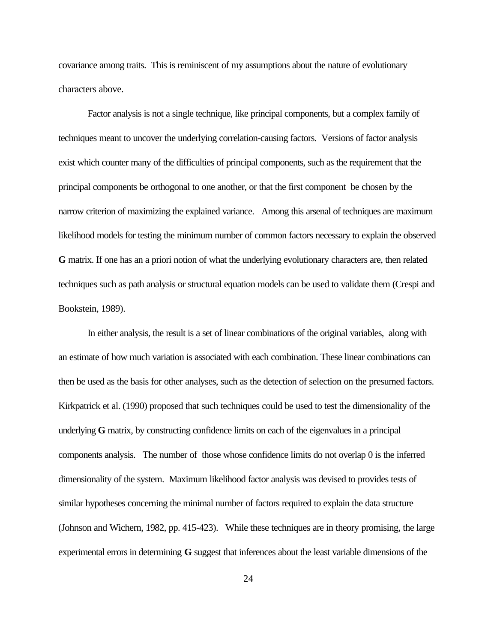covariance among traits. This is reminiscent of my assumptions about the nature of evolutionary characters above.

Factor analysis is not a single technique, like principal components, but a complex family of techniques meant to uncover the underlying correlation-causing factors. Versions of factor analysis exist which counter many of the difficulties of principal components, such as the requirement that the principal components be orthogonal to one another, or that the first component be chosen by the narrow criterion of maximizing the explained variance. Among this arsenal of techniques are maximum likelihood models for testing the minimum number of common factors necessary to explain the observed **G** matrix. If one has an a priori notion of what the underlying evolutionary characters are, then related techniques such as path analysis or structural equation models can be used to validate them (Crespi and Bookstein, 1989).

In either analysis, the result is a set of linear combinations of the original variables, along with an estimate of how much variation is associated with each combination. These linear combinations can then be used as the basis for other analyses, such as the detection of selection on the presumed factors. Kirkpatrick et al. (1990) proposed that such techniques could be used to test the dimensionality of the underlying **G** matrix, by constructing confidence limits on each of the eigenvalues in a principal components analysis. The number of those whose confidence limits do not overlap 0 is the inferred dimensionality of the system. Maximum likelihood factor analysis was devised to provides tests of similar hypotheses concerning the minimal number of factors required to explain the data structure (Johnson and Wichern, 1982, pp. 415-423). While these techniques are in theory promising, the large experimental errors in determining **G** suggest that inferences about the least variable dimensions of the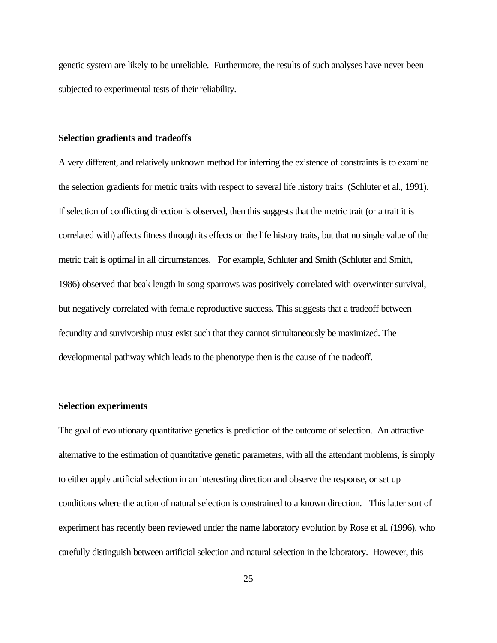genetic system are likely to be unreliable. Furthermore, the results of such analyses have never been subjected to experimental tests of their reliability.

#### **Selection gradients and tradeoffs**

A very different, and relatively unknown method for inferring the existence of constraints is to examine the selection gradients for metric traits with respect to several life history traits (Schluter et al., 1991). If selection of conflicting direction is observed, then this suggests that the metric trait (or a trait it is correlated with) affects fitness through its effects on the life history traits, but that no single value of the metric trait is optimal in all circumstances. For example, Schluter and Smith (Schluter and Smith, 1986) observed that beak length in song sparrows was positively correlated with overwinter survival, but negatively correlated with female reproductive success. This suggests that a tradeoff between fecundity and survivorship must exist such that they cannot simultaneously be maximized. The developmental pathway which leads to the phenotype then is the cause of the tradeoff.

#### **Selection experiments**

The goal of evolutionary quantitative genetics is prediction of the outcome of selection. An attractive alternative to the estimation of quantitative genetic parameters, with all the attendant problems, is simply to either apply artificial selection in an interesting direction and observe the response, or set up conditions where the action of natural selection is constrained to a known direction. This latter sort of experiment has recently been reviewed under the name laboratory evolution by Rose et al. (1996), who carefully distinguish between artificial selection and natural selection in the laboratory. However, this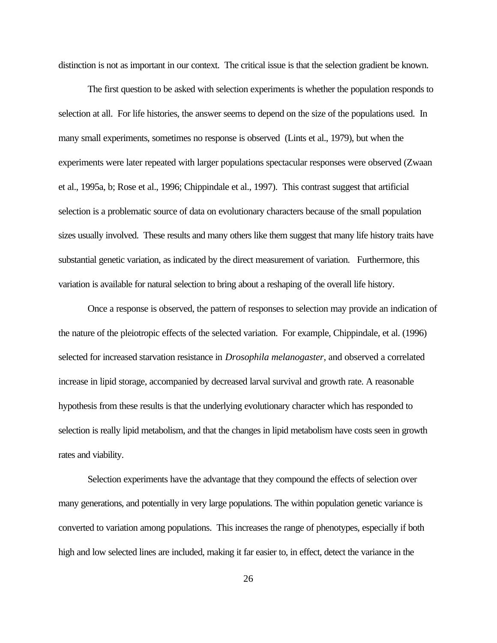distinction is not as important in our context. The critical issue is that the selection gradient be known.

The first question to be asked with selection experiments is whether the population responds to selection at all. For life histories, the answer seems to depend on the size of the populations used. In many small experiments, sometimes no response is observed (Lints et al., 1979), but when the experiments were later repeated with larger populations spectacular responses were observed (Zwaan et al., 1995a, b; Rose et al., 1996; Chippindale et al., 1997). This contrast suggest that artificial selection is a problematic source of data on evolutionary characters because of the small population sizes usually involved. These results and many others like them suggest that many life history traits have substantial genetic variation, as indicated by the direct measurement of variation. Furthermore, this variation is available for natural selection to bring about a reshaping of the overall life history.

Once a response is observed, the pattern of responses to selection may provide an indication of the nature of the pleiotropic effects of the selected variation. For example, Chippindale, et al. (1996) selected for increased starvation resistance in *Drosophila melanogaster*, and observed a correlated increase in lipid storage, accompanied by decreased larval survival and growth rate. A reasonable hypothesis from these results is that the underlying evolutionary character which has responded to selection is really lipid metabolism, and that the changes in lipid metabolism have costs seen in growth rates and viability.

Selection experiments have the advantage that they compound the effects of selection over many generations, and potentially in very large populations. The within population genetic variance is converted to variation among populations. This increases the range of phenotypes, especially if both high and low selected lines are included, making it far easier to, in effect, detect the variance in the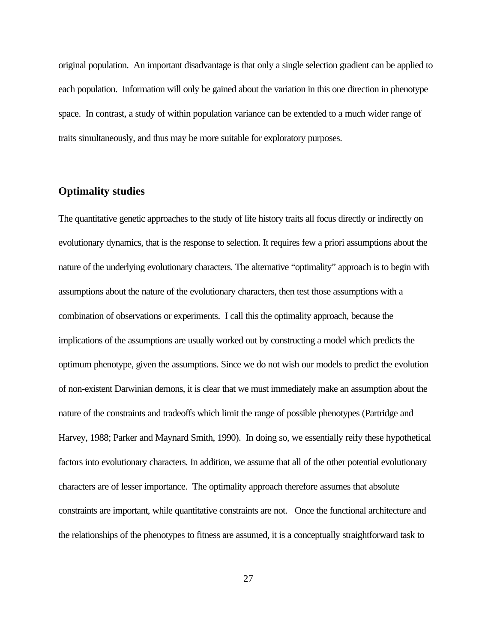original population. An important disadvantage is that only a single selection gradient can be applied to each population. Information will only be gained about the variation in this one direction in phenotype space. In contrast, a study of within population variance can be extended to a much wider range of traits simultaneously, and thus may be more suitable for exploratory purposes.

## **Optimality studies**

The quantitative genetic approaches to the study of life history traits all focus directly or indirectly on evolutionary dynamics, that is the response to selection. It requires few a priori assumptions about the nature of the underlying evolutionary characters. The alternative "optimality" approach is to begin with assumptions about the nature of the evolutionary characters, then test those assumptions with a combination of observations or experiments. I call this the optimality approach, because the implications of the assumptions are usually worked out by constructing a model which predicts the optimum phenotype, given the assumptions. Since we do not wish our models to predict the evolution of non-existent Darwinian demons, it is clear that we must immediately make an assumption about the nature of the constraints and tradeoffs which limit the range of possible phenotypes (Partridge and Harvey, 1988; Parker and Maynard Smith, 1990). In doing so, we essentially reify these hypothetical factors into evolutionary characters. In addition, we assume that all of the other potential evolutionary characters are of lesser importance. The optimality approach therefore assumes that absolute constraints are important, while quantitative constraints are not. Once the functional architecture and the relationships of the phenotypes to fitness are assumed, it is a conceptually straightforward task to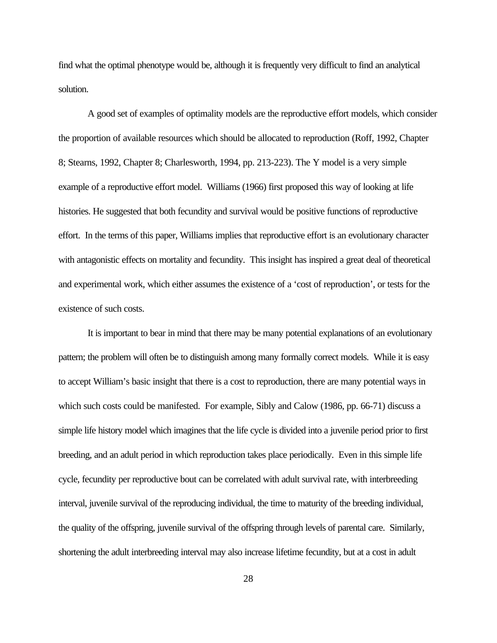find what the optimal phenotype would be, although it is frequently very difficult to find an analytical solution.

A good set of examples of optimality models are the reproductive effort models, which consider the proportion of available resources which should be allocated to reproduction (Roff, 1992, Chapter 8; Stearns, 1992, Chapter 8; Charlesworth, 1994, pp. 213-223). The Y model is a very simple example of a reproductive effort model. Williams (1966) first proposed this way of looking at life histories. He suggested that both fecundity and survival would be positive functions of reproductive effort. In the terms of this paper, Williams implies that reproductive effort is an evolutionary character with antagonistic effects on mortality and fecundity. This insight has inspired a great deal of theoretical and experimental work, which either assumes the existence of a 'cost of reproduction', or tests for the existence of such costs.

It is important to bear in mind that there may be many potential explanations of an evolutionary pattern; the problem will often be to distinguish among many formally correct models. While it is easy to accept William's basic insight that there is a cost to reproduction, there are many potential ways in which such costs could be manifested. For example, Sibly and Calow (1986, pp. 66-71) discuss a simple life history model which imagines that the life cycle is divided into a juvenile period prior to first breeding, and an adult period in which reproduction takes place periodically. Even in this simple life cycle, fecundity per reproductive bout can be correlated with adult survival rate, with interbreeding interval, juvenile survival of the reproducing individual, the time to maturity of the breeding individual, the quality of the offspring, juvenile survival of the offspring through levels of parental care. Similarly, shortening the adult interbreeding interval may also increase lifetime fecundity, but at a cost in adult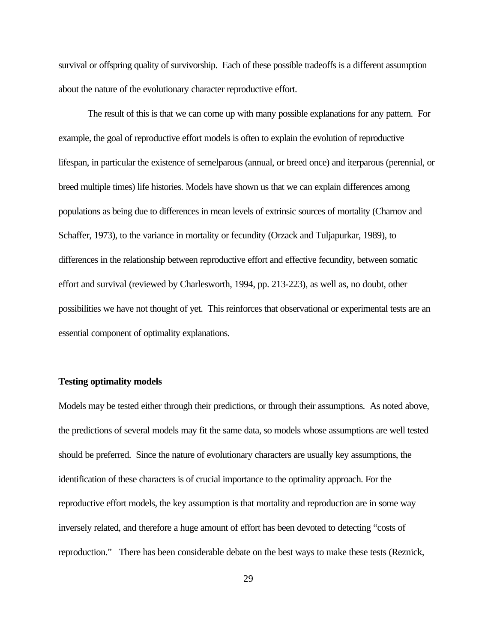survival or offspring quality of survivorship. Each of these possible tradeoffs is a different assumption about the nature of the evolutionary character reproductive effort.

The result of this is that we can come up with many possible explanations for any pattern. For example, the goal of reproductive effort models is often to explain the evolution of reproductive lifespan, in particular the existence of semelparous (annual, or breed once) and iterparous (perennial, or breed multiple times) life histories. Models have shown us that we can explain differences among populations as being due to differences in mean levels of extrinsic sources of mortality (Charnov and Schaffer, 1973), to the variance in mortality or fecundity (Orzack and Tuljapurkar, 1989), to differences in the relationship between reproductive effort and effective fecundity, between somatic effort and survival (reviewed by Charlesworth, 1994, pp. 213-223), as well as, no doubt, other possibilities we have not thought of yet. This reinforces that observational or experimental tests are an essential component of optimality explanations.

#### **Testing optimality models**

Models may be tested either through their predictions, or through their assumptions. As noted above, the predictions of several models may fit the same data, so models whose assumptions are well tested should be preferred. Since the nature of evolutionary characters are usually key assumptions, the identification of these characters is of crucial importance to the optimality approach. For the reproductive effort models, the key assumption is that mortality and reproduction are in some way inversely related, and therefore a huge amount of effort has been devoted to detecting "costs of reproduction." There has been considerable debate on the best ways to make these tests (Reznick,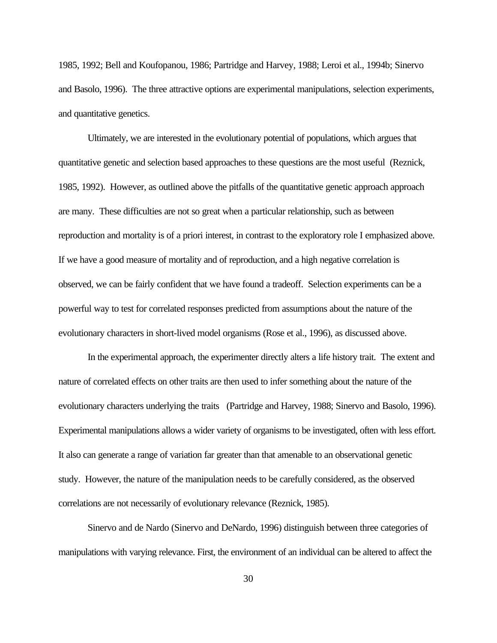1985, 1992; Bell and Koufopanou, 1986; Partridge and Harvey, 1988; Leroi et al., 1994b; Sinervo and Basolo, 1996). The three attractive options are experimental manipulations, selection experiments, and quantitative genetics.

Ultimately, we are interested in the evolutionary potential of populations, which argues that quantitative genetic and selection based approaches to these questions are the most useful (Reznick, 1985, 1992). However, as outlined above the pitfalls of the quantitative genetic approach approach are many. These difficulties are not so great when a particular relationship, such as between reproduction and mortality is of a priori interest, in contrast to the exploratory role I emphasized above. If we have a good measure of mortality and of reproduction, and a high negative correlation is observed, we can be fairly confident that we have found a tradeoff. Selection experiments can be a powerful way to test for correlated responses predicted from assumptions about the nature of the evolutionary characters in short-lived model organisms (Rose et al., 1996), as discussed above.

In the experimental approach, the experimenter directly alters a life history trait. The extent and nature of correlated effects on other traits are then used to infer something about the nature of the evolutionary characters underlying the traits (Partridge and Harvey, 1988; Sinervo and Basolo, 1996). Experimental manipulations allows a wider variety of organisms to be investigated, often with less effort. It also can generate a range of variation far greater than that amenable to an observational genetic study. However, the nature of the manipulation needs to be carefully considered, as the observed correlations are not necessarily of evolutionary relevance (Reznick, 1985).

Sinervo and de Nardo (Sinervo and DeNardo, 1996) distinguish between three categories of manipulations with varying relevance. First, the environment of an individual can be altered to affect the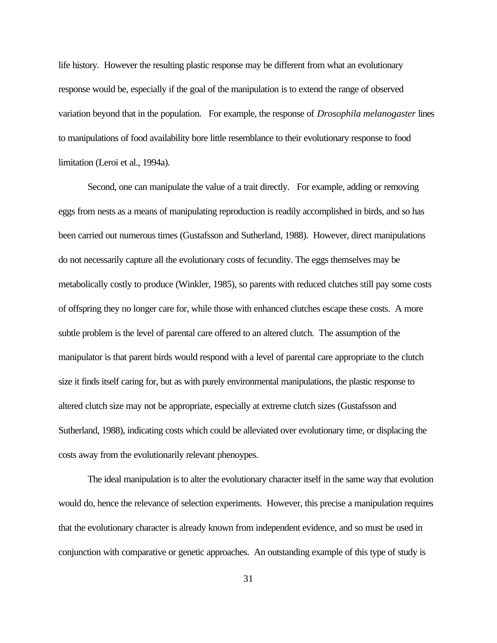life history. However the resulting plastic response may be different from what an evolutionary response would be, especially if the goal of the manipulation is to extend the range of observed variation beyond that in the population. For example, the response of *Drosophila melanogaster* lines to manipulations of food availability bore little resemblance to their evolutionary response to food limitation (Leroi et al., 1994a).

Second, one can manipulate the value of a trait directly. For example, adding or removing eggs from nests as a means of manipulating reproduction is readily accomplished in birds, and so has been carried out numerous times (Gustafsson and Sutherland, 1988). However, direct manipulations do not necessarily capture all the evolutionary costs of fecundity. The eggs themselves may be metabolically costly to produce (Winkler, 1985), so parents with reduced clutches still pay some costs of offspring they no longer care for, while those with enhanced clutches escape these costs. A more subtle problem is the level of parental care offered to an altered clutch. The assumption of the manipulator is that parent birds would respond with a level of parental care appropriate to the clutch size it finds itself caring for, but as with purely environmental manipulations, the plastic response to altered clutch size may not be appropriate, especially at extreme clutch sizes (Gustafsson and Sutherland, 1988), indicating costs which could be alleviated over evolutionary time, or displacing the costs away from the evolutionarily relevant phenoypes.

The ideal manipulation is to alter the evolutionary character itself in the same way that evolution would do, hence the relevance of selection experiments. However, this precise a manipulation requires that the evolutionary character is already known from independent evidence, and so must be used in conjunction with comparative or genetic approaches. An outstanding example of this type of study is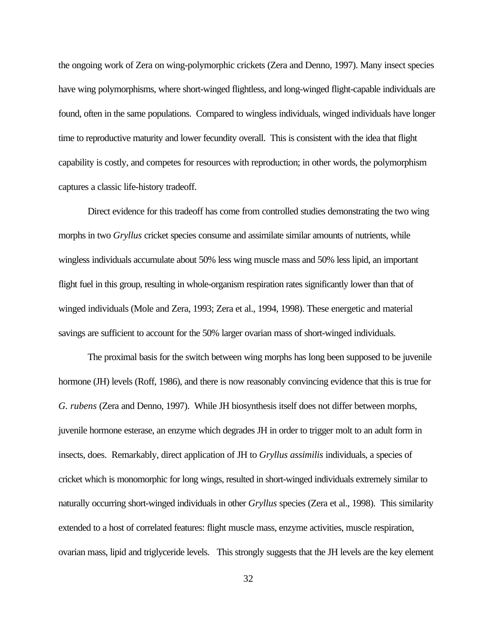the ongoing work of Zera on wing-polymorphic crickets (Zera and Denno, 1997). Many insect species have wing polymorphisms, where short-winged flightless, and long-winged flight-capable individuals are found, often in the same populations. Compared to wingless individuals, winged individuals have longer time to reproductive maturity and lower fecundity overall. This is consistent with the idea that flight capability is costly, and competes for resources with reproduction; in other words, the polymorphism captures a classic life-history tradeoff.

Direct evidence for this tradeoff has come from controlled studies demonstrating the two wing morphs in two *Gryllus* cricket species consume and assimilate similar amounts of nutrients, while wingless individuals accumulate about 50% less wing muscle mass and 50% less lipid, an important flight fuel in this group, resulting in whole-organism respiration rates significantly lower than that of winged individuals (Mole and Zera, 1993; Zera et al., 1994, 1998). These energetic and material savings are sufficient to account for the 50% larger ovarian mass of short-winged individuals.

The proximal basis for the switch between wing morphs has long been supposed to be juvenile hormone (JH) levels (Roff, 1986), and there is now reasonably convincing evidence that this is true for *G. rubens* (Zera and Denno, 1997). While JH biosynthesis itself does not differ between morphs, juvenile hormone esterase, an enzyme which degrades JH in order to trigger molt to an adult form in insects, does. Remarkably, direct application of JH to *Gryllus assimilis* individuals, a species of cricket which is monomorphic for long wings, resulted in short-winged individuals extremely similar to naturally occurring short-winged individuals in other *Gryllus* species (Zera et al., 1998). This similarity extended to a host of correlated features: flight muscle mass, enzyme activities, muscle respiration, ovarian mass, lipid and triglyceride levels. This strongly suggests that the JH levels are the key element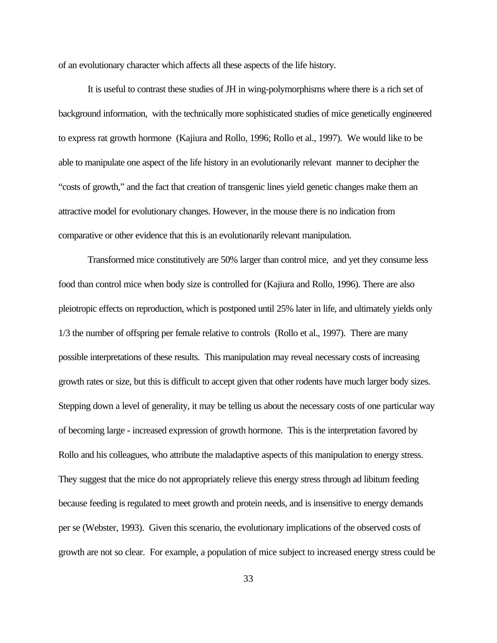of an evolutionary character which affects all these aspects of the life history.

It is useful to contrast these studies of JH in wing-polymorphisms where there is a rich set of background information, with the technically more sophisticated studies of mice genetically engineered to express rat growth hormone (Kajiura and Rollo, 1996; Rollo et al., 1997). We would like to be able to manipulate one aspect of the life history in an evolutionarily relevant manner to decipher the "costs of growth," and the fact that creation of transgenic lines yield genetic changes make them an attractive model for evolutionary changes. However, in the mouse there is no indication from comparative or other evidence that this is an evolutionarily relevant manipulation.

Transformed mice constitutively are 50% larger than control mice, and yet they consume less food than control mice when body size is controlled for (Kajiura and Rollo, 1996). There are also pleiotropic effects on reproduction, which is postponed until 25% later in life, and ultimately yields only 1/3 the number of offspring per female relative to controls (Rollo et al., 1997). There are many possible interpretations of these results. This manipulation may reveal necessary costs of increasing growth rates or size, but this is difficult to accept given that other rodents have much larger body sizes. Stepping down a level of generality, it may be telling us about the necessary costs of one particular way of becoming large - increased expression of growth hormone. This is the interpretation favored by Rollo and his colleagues, who attribute the maladaptive aspects of this manipulation to energy stress. They suggest that the mice do not appropriately relieve this energy stress through ad libitum feeding because feeding is regulated to meet growth and protein needs, and is insensitive to energy demands per se (Webster, 1993). Given this scenario, the evolutionary implications of the observed costs of growth are not so clear. For example, a population of mice subject to increased energy stress could be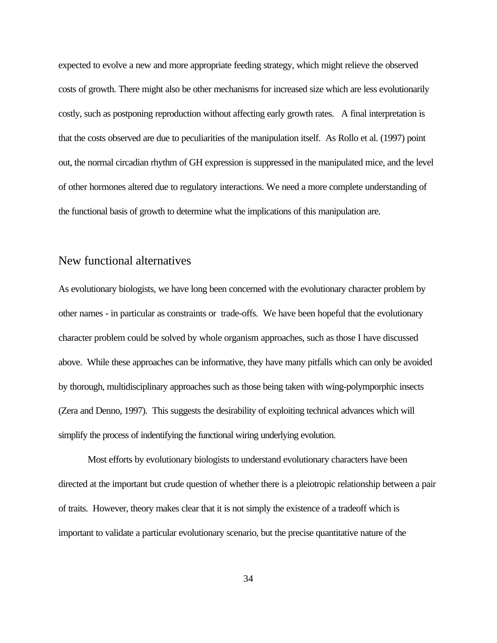expected to evolve a new and more appropriate feeding strategy, which might relieve the observed costs of growth. There might also be other mechanisms for increased size which are less evolutionarily costly, such as postponing reproduction without affecting early growth rates. A final interpretation is that the costs observed are due to peculiarities of the manipulation itself. As Rollo et al. (1997) point out, the normal circadian rhythm of GH expression is suppressed in the manipulated mice, and the level of other hormones altered due to regulatory interactions. We need a more complete understanding of the functional basis of growth to determine what the implications of this manipulation are.

# New functional alternatives

As evolutionary biologists, we have long been concerned with the evolutionary character problem by other names - in particular as constraints or trade-offs. We have been hopeful that the evolutionary character problem could be solved by whole organism approaches, such as those I have discussed above. While these approaches can be informative, they have many pitfalls which can only be avoided by thorough, multidisciplinary approaches such as those being taken with wing-polymporphic insects (Zera and Denno, 1997). This suggests the desirability of exploiting technical advances which will simplify the process of indentifying the functional wiring underlying evolution.

Most efforts by evolutionary biologists to understand evolutionary characters have been directed at the important but crude question of whether there is a pleiotropic relationship between a pair of traits. However, theory makes clear that it is not simply the existence of a tradeoff which is important to validate a particular evolutionary scenario, but the precise quantitative nature of the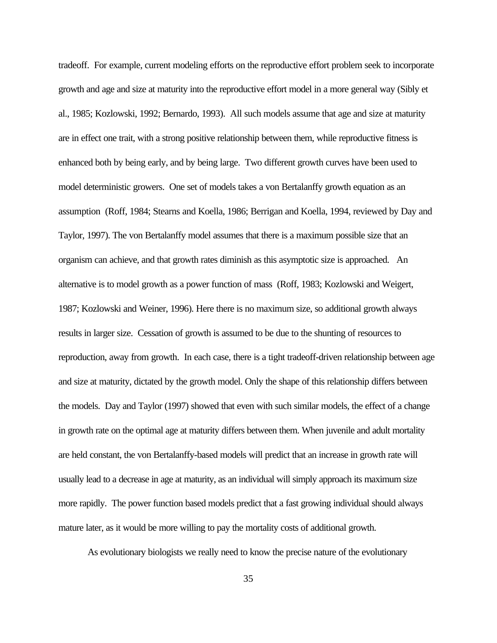tradeoff. For example, current modeling efforts on the reproductive effort problem seek to incorporate growth and age and size at maturity into the reproductive effort model in a more general way (Sibly et al., 1985; Kozlowski, 1992; Bernardo, 1993). All such models assume that age and size at maturity are in effect one trait, with a strong positive relationship between them, while reproductive fitness is enhanced both by being early, and by being large. Two different growth curves have been used to model deterministic growers. One set of models takes a von Bertalanffy growth equation as an assumption (Roff, 1984; Stearns and Koella, 1986; Berrigan and Koella, 1994, reviewed by Day and Taylor, 1997). The von Bertalanffy model assumes that there is a maximum possible size that an organism can achieve, and that growth rates diminish as this asymptotic size is approached. An alternative is to model growth as a power function of mass (Roff, 1983; Kozlowski and Weigert, 1987; Kozlowski and Weiner, 1996). Here there is no maximum size, so additional growth always results in larger size. Cessation of growth is assumed to be due to the shunting of resources to reproduction, away from growth. In each case, there is a tight tradeoff-driven relationship between age and size at maturity, dictated by the growth model. Only the shape of this relationship differs between the models. Day and Taylor (1997) showed that even with such similar models, the effect of a change in growth rate on the optimal age at maturity differs between them. When juvenile and adult mortality are held constant, the von Bertalanffy-based models will predict that an increase in growth rate will usually lead to a decrease in age at maturity, as an individual will simply approach its maximum size more rapidly. The power function based models predict that a fast growing individual should always mature later, as it would be more willing to pay the mortality costs of additional growth.

As evolutionary biologists we really need to know the precise nature of the evolutionary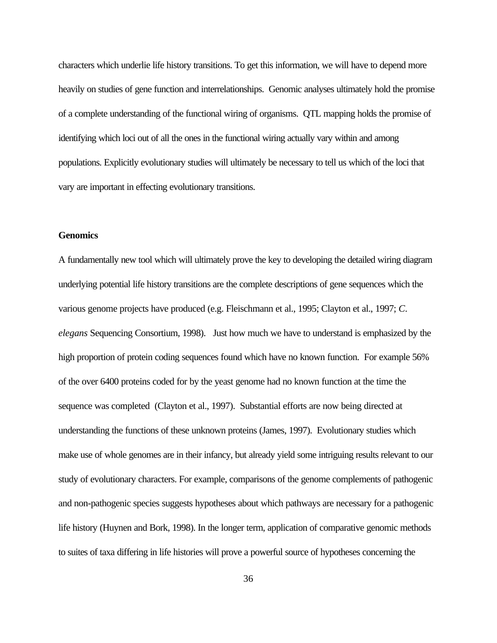characters which underlie life history transitions. To get this information, we will have to depend more heavily on studies of gene function and interrelationships. Genomic analyses ultimately hold the promise of a complete understanding of the functional wiring of organisms. QTL mapping holds the promise of identifying which loci out of all the ones in the functional wiring actually vary within and among populations. Explicitly evolutionary studies will ultimately be necessary to tell us which of the loci that vary are important in effecting evolutionary transitions.

#### **Genomics**

A fundamentally new tool which will ultimately prove the key to developing the detailed wiring diagram underlying potential life history transitions are the complete descriptions of gene sequences which the various genome projects have produced (e.g. Fleischmann et al., 1995; Clayton et al., 1997; *C. elegans* Sequencing Consortium, 1998). Just how much we have to understand is emphasized by the high proportion of protein coding sequences found which have no known function. For example 56% of the over 6400 proteins coded for by the yeast genome had no known function at the time the sequence was completed (Clayton et al., 1997). Substantial efforts are now being directed at understanding the functions of these unknown proteins (James, 1997). Evolutionary studies which make use of whole genomes are in their infancy, but already yield some intriguing results relevant to our study of evolutionary characters. For example, comparisons of the genome complements of pathogenic and non-pathogenic species suggests hypotheses about which pathways are necessary for a pathogenic life history (Huynen and Bork, 1998). In the longer term, application of comparative genomic methods to suites of taxa differing in life histories will prove a powerful source of hypotheses concerning the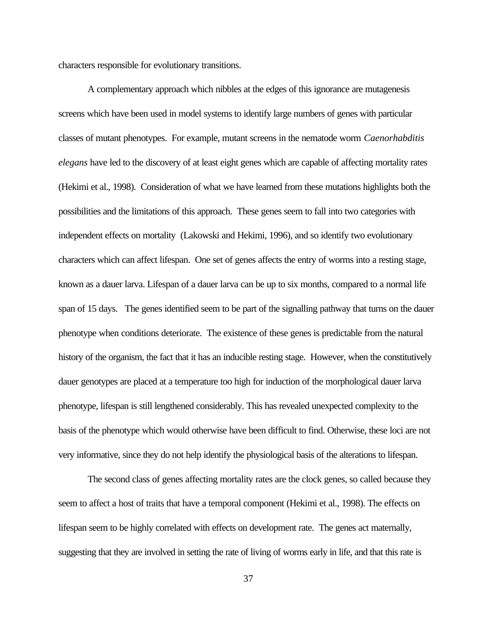characters responsible for evolutionary transitions.

A complementary approach which nibbles at the edges of this ignorance are mutagenesis screens which have been used in model systems to identify large numbers of genes with particular classes of mutant phenotypes. For example, mutant screens in the nematode worm *Caenorhabditis elegans* have led to the discovery of at least eight genes which are capable of affecting mortality rates (Hekimi et al., 1998). Consideration of what we have learned from these mutations highlights both the possibilities and the limitations of this approach. These genes seem to fall into two categories with independent effects on mortality (Lakowski and Hekimi, 1996), and so identify two evolutionary characters which can affect lifespan. One set of genes affects the entry of worms into a resting stage, known as a dauer larva. Lifespan of a dauer larva can be up to six months, compared to a normal life span of 15 days. The genes identified seem to be part of the signalling pathway that turns on the dauer phenotype when conditions deteriorate. The existence of these genes is predictable from the natural history of the organism, the fact that it has an inducible resting stage. However, when the constitutively dauer genotypes are placed at a temperature too high for induction of the morphological dauer larva phenotype, lifespan is still lengthened considerably. This has revealed unexpected complexity to the basis of the phenotype which would otherwise have been difficult to find. Otherwise, these loci are not very informative, since they do not help identify the physiological basis of the alterations to lifespan.

The second class of genes affecting mortality rates are the clock genes, so called because they seem to affect a host of traits that have a temporal component (Hekimi et al., 1998). The effects on lifespan seem to be highly correlated with effects on development rate. The genes act maternally, suggesting that they are involved in setting the rate of living of worms early in life, and that this rate is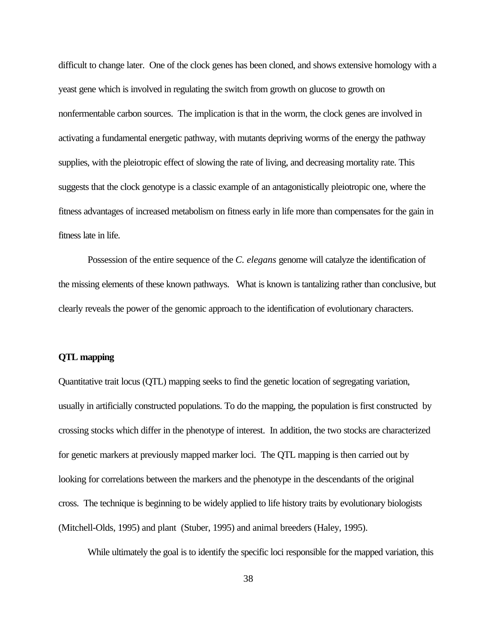difficult to change later. One of the clock genes has been cloned, and shows extensive homology with a yeast gene which is involved in regulating the switch from growth on glucose to growth on nonfermentable carbon sources. The implication is that in the worm, the clock genes are involved in activating a fundamental energetic pathway, with mutants depriving worms of the energy the pathway supplies, with the pleiotropic effect of slowing the rate of living, and decreasing mortality rate. This suggests that the clock genotype is a classic example of an antagonistically pleiotropic one, where the fitness advantages of increased metabolism on fitness early in life more than compensates for the gain in fitness late in life.

Possession of the entire sequence of the *C. elegans* genome will catalyze the identification of the missing elements of these known pathways. What is known is tantalizing rather than conclusive, but clearly reveals the power of the genomic approach to the identification of evolutionary characters.

#### **QTL mapping**

Quantitative trait locus (QTL) mapping seeks to find the genetic location of segregating variation, usually in artificially constructed populations. To do the mapping, the population is first constructed by crossing stocks which differ in the phenotype of interest. In addition, the two stocks are characterized for genetic markers at previously mapped marker loci. The QTL mapping is then carried out by looking for correlations between the markers and the phenotype in the descendants of the original cross. The technique is beginning to be widely applied to life history traits by evolutionary biologists (Mitchell-Olds, 1995) and plant (Stuber, 1995) and animal breeders (Haley, 1995).

While ultimately the goal is to identify the specific loci responsible for the mapped variation, this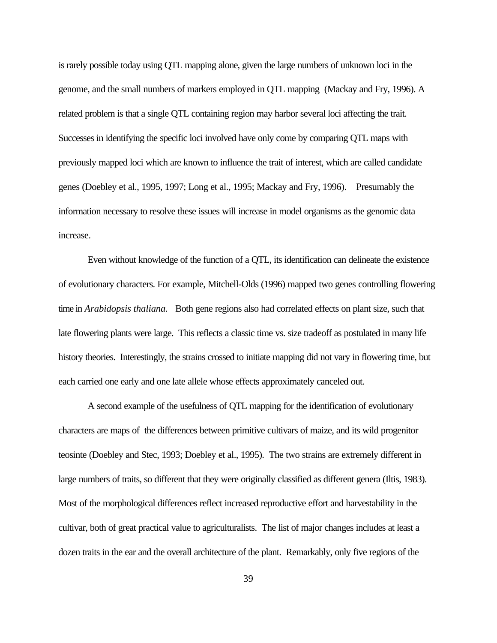is rarely possible today using QTL mapping alone, given the large numbers of unknown loci in the genome, and the small numbers of markers employed in QTL mapping (Mackay and Fry, 1996). A related problem is that a single QTL containing region may harbor several loci affecting the trait. Successes in identifying the specific loci involved have only come by comparing QTL maps with previously mapped loci which are known to influence the trait of interest, which are called candidate genes (Doebley et al., 1995, 1997; Long et al., 1995; Mackay and Fry, 1996). Presumably the information necessary to resolve these issues will increase in model organisms as the genomic data increase.

Even without knowledge of the function of a QTL, its identification can delineate the existence of evolutionary characters. For example, Mitchell-Olds (1996) mapped two genes controlling flowering time in *Arabidopsis thaliana.* Both gene regions also had correlated effects on plant size, such that late flowering plants were large. This reflects a classic time vs. size tradeoff as postulated in many life history theories. Interestingly, the strains crossed to initiate mapping did not vary in flowering time, but each carried one early and one late allele whose effects approximately canceled out.

A second example of the usefulness of QTL mapping for the identification of evolutionary characters are maps of the differences between primitive cultivars of maize, and its wild progenitor teosinte (Doebley and Stec, 1993; Doebley et al., 1995). The two strains are extremely different in large numbers of traits, so different that they were originally classified as different genera (Iltis, 1983). Most of the morphological differences reflect increased reproductive effort and harvestability in the cultivar, both of great practical value to agriculturalists. The list of major changes includes at least a dozen traits in the ear and the overall architecture of the plant. Remarkably, only five regions of the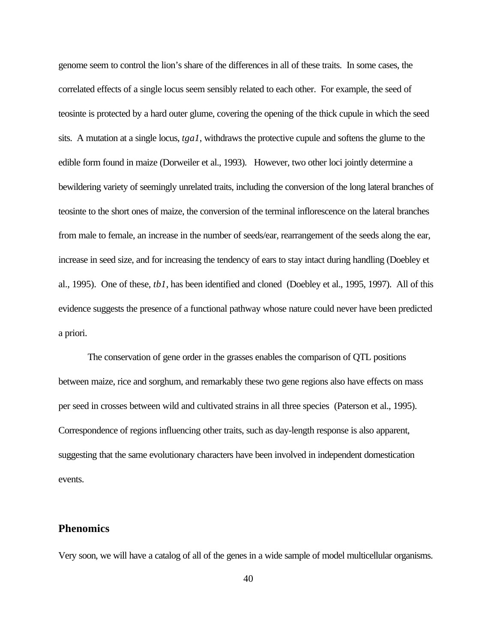genome seem to control the lion's share of the differences in all of these traits. In some cases, the correlated effects of a single locus seem sensibly related to each other. For example, the seed of teosinte is protected by a hard outer glume, covering the opening of the thick cupule in which the seed sits. A mutation at a single locus, *tga1*, withdraws the protective cupule and softens the glume to the edible form found in maize (Dorweiler et al., 1993). However, two other loci jointly determine a bewildering variety of seemingly unrelated traits, including the conversion of the long lateral branches of teosinte to the short ones of maize, the conversion of the terminal inflorescence on the lateral branches from male to female, an increase in the number of seeds/ear, rearrangement of the seeds along the ear, increase in seed size, and for increasing the tendency of ears to stay intact during handling (Doebley et al., 1995). One of these, *tb1*, has been identified and cloned (Doebley et al., 1995, 1997). All of this evidence suggests the presence of a functional pathway whose nature could never have been predicted a priori.

The conservation of gene order in the grasses enables the comparison of QTL positions between maize, rice and sorghum, and remarkably these two gene regions also have effects on mass per seed in crosses between wild and cultivated strains in all three species (Paterson et al., 1995). Correspondence of regions influencing other traits, such as day-length response is also apparent, suggesting that the same evolutionary characters have been involved in independent domestication events.

### **Phenomics**

Very soon, we will have a catalog of all of the genes in a wide sample of model multicellular organisms.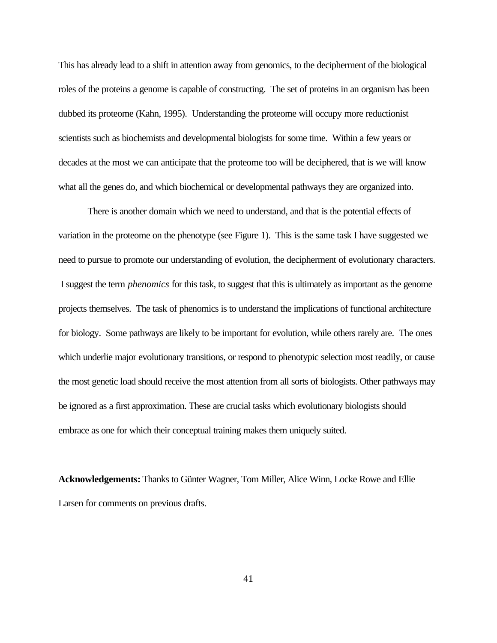This has already lead to a shift in attention away from genomics, to the decipherment of the biological roles of the proteins a genome is capable of constructing. The set of proteins in an organism has been dubbed its proteome (Kahn, 1995). Understanding the proteome will occupy more reductionist scientists such as biochemists and developmental biologists for some time. Within a few years or decades at the most we can anticipate that the proteome too will be deciphered, that is we will know what all the genes do, and which biochemical or developmental pathways they are organized into.

There is another domain which we need to understand, and that is the potential effects of variation in the proteome on the phenotype (see Figure 1). This is the same task I have suggested we need to pursue to promote our understanding of evolution, the decipherment of evolutionary characters. I suggest the term *phenomics* for this task, to suggest that this is ultimately as important as the genome projects themselves. The task of phenomics is to understand the implications of functional architecture for biology. Some pathways are likely to be important for evolution, while others rarely are. The ones which underlie major evolutionary transitions, or respond to phenotypic selection most readily, or cause the most genetic load should receive the most attention from all sorts of biologists. Other pathways may be ignored as a first approximation. These are crucial tasks which evolutionary biologists should embrace as one for which their conceptual training makes them uniquely suited.

**Acknowledgements:** Thanks to Günter Wagner, Tom Miller, Alice Winn, Locke Rowe and Ellie Larsen for comments on previous drafts.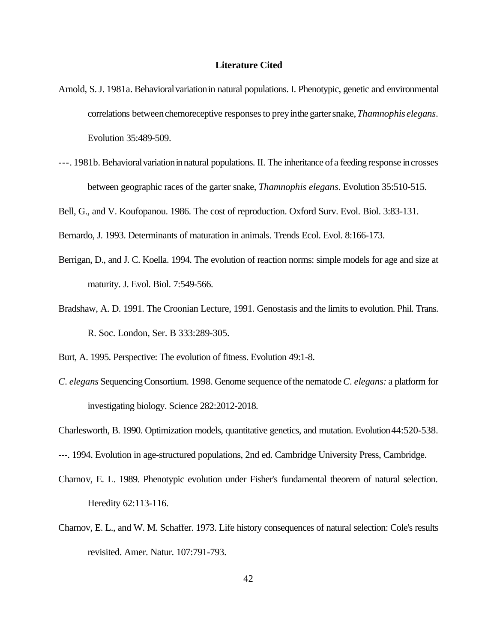#### **Literature Cited**

- Arnold, S. J. 1981a. Behavioral variation in natural populations. I. Phenotypic, genetic and environmental correlations between chemoreceptive responses to prey in the garter snake, *Thamnophis elegans*. Evolution 35:489-509.
- ---. 1981b. Behavioral variation in natural populations. II. The inheritance of a feeding response in crosses between geographic races of the garter snake, *Thamnophis elegans*. Evolution 35:510-515.

Bell, G., and V. Koufopanou. 1986. The cost of reproduction. Oxford Surv. Evol. Biol. 3:83-131.

- Bernardo, J. 1993. Determinants of maturation in animals. Trends Ecol. Evol. 8:166-173.
- Berrigan, D., and J. C. Koella. 1994. The evolution of reaction norms: simple models for age and size at maturity. J. Evol. Biol. 7:549-566.
- Bradshaw, A. D. 1991. The Croonian Lecture, 1991. Genostasis and the limits to evolution. Phil. Trans. R. Soc. London, Ser. B 333:289-305.
- Burt, A. 1995. Perspective: The evolution of fitness. Evolution 49:1-8.
- *C. elegans* Sequencing Consortium. 1998. Genome sequence of the nematode *C. elegans:* a platform for investigating biology. Science 282:2012-2018.
- Charlesworth, B. 1990. Optimization models, quantitative genetics, and mutation. Evolution44:520-538.
- ---. 1994. Evolution in age-structured populations, 2nd ed. Cambridge University Press, Cambridge.
- Charnov, E. L. 1989. Phenotypic evolution under Fisher's fundamental theorem of natural selection. Heredity 62:113-116.
- Charnov, E. L., and W. M. Schaffer. 1973. Life history consequences of natural selection: Cole's results revisited. Amer. Natur. 107:791-793.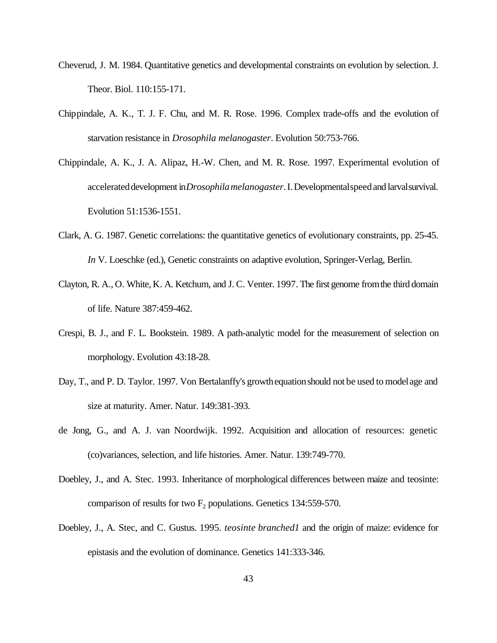- Cheverud, J. M. 1984. Quantitative genetics and developmental constraints on evolution by selection. J. Theor. Biol. 110:155-171.
- Chippindale, A. K., T. J. F. Chu, and M. R. Rose. 1996. Complex trade-offs and the evolution of starvation resistance in *Drosophila melanogaster*. Evolution 50:753-766.
- Chippindale, A. K., J. A. Alipaz, H.-W. Chen, and M. R. Rose. 1997. Experimental evolution of accelerated development in *Drosophila melanogaster*. I. Developmental speed and larval survival. Evolution 51:1536-1551.
- Clark, A. G. 1987. Genetic correlations: the quantitative genetics of evolutionary constraints, pp. 25-45. *In* V. Loeschke (ed.), Genetic constraints on adaptive evolution, Springer-Verlag, Berlin.
- Clayton, R. A., O. White, K. A. Ketchum, and J. C. Venter. 1997. The first genome fromthe third domain of life. Nature 387:459-462.
- Crespi, B. J., and F. L. Bookstein. 1989. A path-analytic model for the measurement of selection on morphology. Evolution 43:18-28.
- Day, T., and P. D. Taylor. 1997. Von Bertalanffy's growth equation should not be used to model age and size at maturity. Amer. Natur. 149:381-393.
- de Jong, G., and A. J. van Noordwijk. 1992. Acquisition and allocation of resources: genetic (co)variances, selection, and life histories. Amer. Natur. 139:749-770.
- Doebley, J., and A. Stec. 1993. Inheritance of morphological differences between maize and teosinte: comparison of results for two  $F_2$  populations. Genetics 134:559-570.
- Doebley, J., A. Stec, and C. Gustus. 1995. *teosinte branched1* and the origin of maize: evidence for epistasis and the evolution of dominance. Genetics 141:333-346.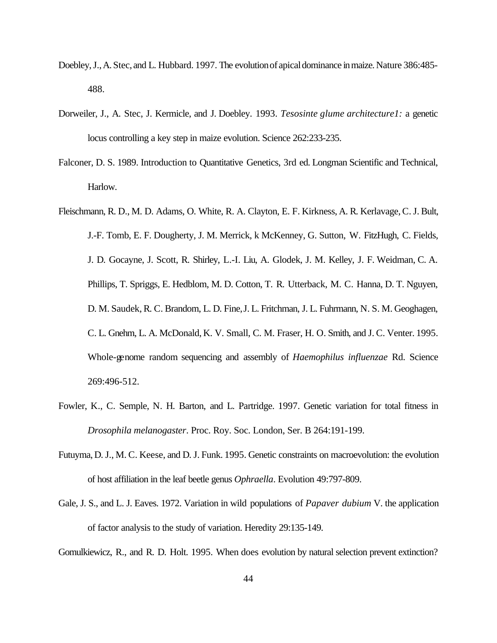- Doebley, J., A. Stec, and L. Hubbard. 1997. The evolution of apical dominance in maize. Nature 386:485-488.
- Dorweiler, J., A. Stec, J. Kermicle, and J. Doebley. 1993. *Tesosinte glume architecture1:* a genetic locus controlling a key step in maize evolution. Science 262:233-235.
- Falconer, D. S. 1989. Introduction to Quantitative Genetics, 3rd ed. Longman Scientific and Technical, Harlow.
- Fleischmann, R. D., M. D. Adams, O. White, R. A. Clayton, E. F. Kirkness, A. R. Kerlavage,C. J. Bult, J.-F. Tomb, E. F. Dougherty, J. M. Merrick, k McKenney, G. Sutton, W. FitzHugh, C. Fields, J. D. Gocayne, J. Scott, R. Shirley, L.-I. Liu, A. Glodek, J. M. Kelley, J. F. Weidman, C. A. Phillips, T. Spriggs, E. Hedblom, M. D. Cotton, T. R. Utterback, M. C. Hanna, D. T. Nguyen, D. M. Saudek, R. C. Brandom, L. D. Fine,J. L. Fritchman, J. L. Fuhrmann, N. S. M. Geoghagen, C. L. Gnehm, L. A. McDonald, K. V. Small, C. M. Fraser, H. O. Smith, and J. C. Venter. 1995. Whole-genome random sequencing and assembly of *Haemophilus influenzae* Rd. Science 269:496-512.
- Fowler, K., C. Semple, N. H. Barton, and L. Partridge. 1997. Genetic variation for total fitness in *Drosophila melanogaster*. Proc. Roy. Soc. London, Ser. B 264:191-199.
- Futuyma, D. J., M. C. Keese, and D. J. Funk. 1995. Genetic constraints on macroevolution: the evolution of host affiliation in the leaf beetle genus *Ophraella*. Evolution 49:797-809.
- Gale, J. S., and L. J. Eaves. 1972. Variation in wild populations of *Papaver dubium* V. the application of factor analysis to the study of variation. Heredity 29:135-149.
- Gomulkiewicz, R., and R. D. Holt. 1995. When does evolution by natural selection prevent extinction?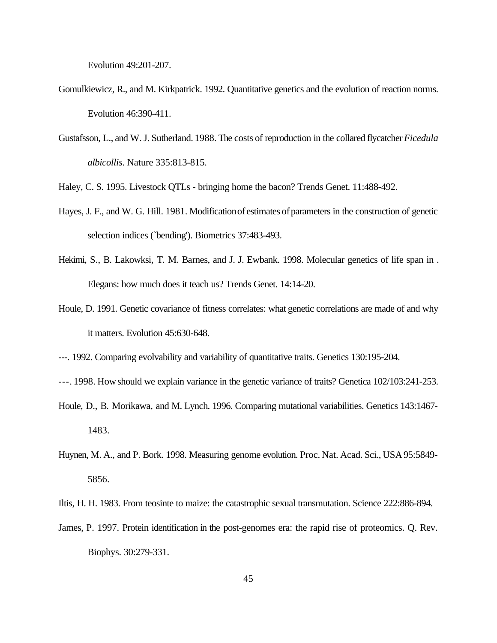Evolution 49:201-207.

- Gomulkiewicz, R., and M. Kirkpatrick. 1992. Quantitative genetics and the evolution of reaction norms. Evolution 46:390-411.
- Gustafsson, L., and W.J. Sutherland. 1988. The costs of reproduction in the collared flycatcher*Ficedula albicollis*. Nature 335:813-815.
- Haley, C. S. 1995. Livestock QTLs bringing home the bacon? Trends Genet. 11:488-492.
- Hayes, J. F., and W. G. Hill. 1981. Modification of estimates of parameters in the construction of genetic selection indices (`bending'). Biometrics 37:483-493.
- Hekimi, S., B. Lakowksi, T. M. Barnes, and J. J. Ewbank. 1998. Molecular genetics of life span in . Elegans: how much does it teach us? Trends Genet. 14:14-20.
- Houle, D. 1991. Genetic covariance of fitness correlates: what genetic correlations are made of and why it matters. Evolution 45:630-648.
- ---. 1992. Comparing evolvability and variability of quantitative traits. Genetics 130:195-204.
- ---. 1998. Howshould we explain variance in the genetic variance of traits? Genetica 102/103:241-253.
- Houle, D., B. Morikawa, and M. Lynch. 1996. Comparing mutational variabilities. Genetics 143:1467- 1483.
- Huynen, M. A., and P. Bork. 1998. Measuring genome evolution. Proc. Nat. Acad. Sci., USA95:5849- 5856.
- Iltis, H. H. 1983. From teosinte to maize: the catastrophic sexual transmutation. Science 222:886-894.
- James, P. 1997. Protein identification in the post-genomes era: the rapid rise of proteomics. Q. Rev. Biophys. 30:279-331.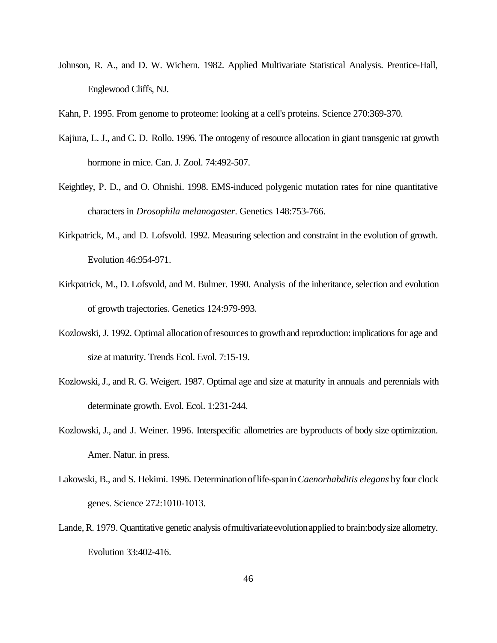Johnson, R. A., and D. W. Wichern. 1982. Applied Multivariate Statistical Analysis. Prentice-Hall, Englewood Cliffs, NJ.

Kahn, P. 1995. From genome to proteome: looking at a cell's proteins. Science 270:369-370.

- Kajiura, L. J., and C. D. Rollo. 1996. The ontogeny of resource allocation in giant transgenic rat growth hormone in mice. Can. J. Zool. 74:492-507.
- Keightley, P. D., and O. Ohnishi. 1998. EMS-induced polygenic mutation rates for nine quantitative characters in *Drosophila melanogaster*. Genetics 148:753-766.
- Kirkpatrick, M., and D. Lofsvold. 1992. Measuring selection and constraint in the evolution of growth. Evolution 46:954-971.
- Kirkpatrick, M., D. Lofsvold, and M. Bulmer. 1990. Analysis of the inheritance, selection and evolution of growth trajectories. Genetics 124:979-993.
- Kozlowski, J. 1992. Optimal allocation of resources to growth and reproduction: implications for age and size at maturity. Trends Ecol. Evol. 7:15-19.
- Kozlowski, J., and R. G. Weigert. 1987. Optimal age and size at maturity in annuals and perennials with determinate growth. Evol. Ecol. 1:231-244.
- Kozlowski, J., and J. Weiner. 1996. Interspecific allometries are byproducts of body size optimization. Amer. Natur. in press.
- Lakowski, B., and S. Hekimi. 1996. Determinationoflife-spanin*Caenorhabditis elegans* byfour clock genes. Science 272:1010-1013.
- Lande, R. 1979. Quantitative genetic analysis ofmultivariateevolutionapplied to brain:bodysize allometry. Evolution 33:402-416.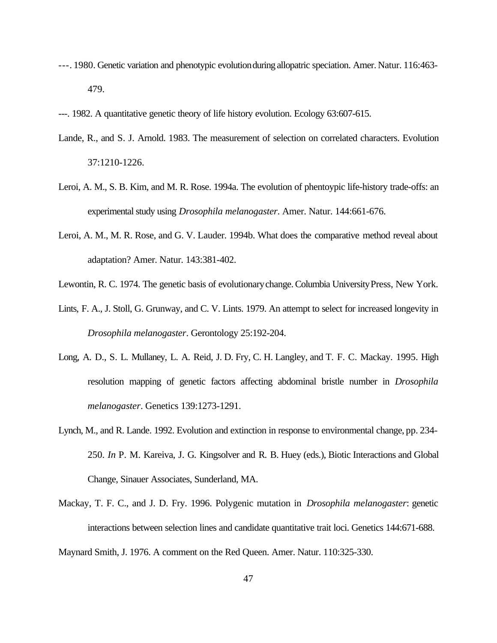- ---. 1980. Genetic variation and phenotypic evolutionduring allopatric speciation. Amer. Natur. 116:463- 479.
- ---. 1982. A quantitative genetic theory of life history evolution. Ecology 63:607-615.
- Lande, R., and S. J. Arnold. 1983. The measurement of selection on correlated characters. Evolution 37:1210-1226.
- Leroi, A. M., S. B. Kim, and M. R. Rose. 1994a. The evolution of phentoypic life-history trade-offs: an experimental study using *Drosophila melanogaster*. Amer. Natur. 144:661-676.
- Leroi, A. M., M. R. Rose, and G. V. Lauder. 1994b. What does the comparative method reveal about adaptation? Amer. Natur. 143:381-402.
- Lewontin, R. C. 1974. The genetic basis of evolutionary change. Columbia University Press, New York.
- Lints, F. A., J. Stoll, G. Grunway, and C. V. Lints. 1979. An attempt to select for increased longevity in *Drosophila melanogaster*. Gerontology 25:192-204.
- Long, A. D., S. L. Mullaney, L. A. Reid, J. D. Fry, C. H. Langley, and T. F. C. Mackay. 1995. High resolution mapping of genetic factors affecting abdominal bristle number in *Drosophila melanogaster*. Genetics 139:1273-1291.
- Lynch, M., and R. Lande. 1992. Evolution and extinction in response to environmental change, pp. 234- 250. *In* P. M. Kareiva, J. G. Kingsolver and R. B. Huey (eds.), Biotic Interactions and Global Change, Sinauer Associates, Sunderland, MA.
- Mackay, T. F. C., and J. D. Fry. 1996. Polygenic mutation in *Drosophila melanogaster*: genetic interactions between selection lines and candidate quantitative trait loci. Genetics 144:671-688.

Maynard Smith, J. 1976. A comment on the Red Queen. Amer. Natur. 110:325-330.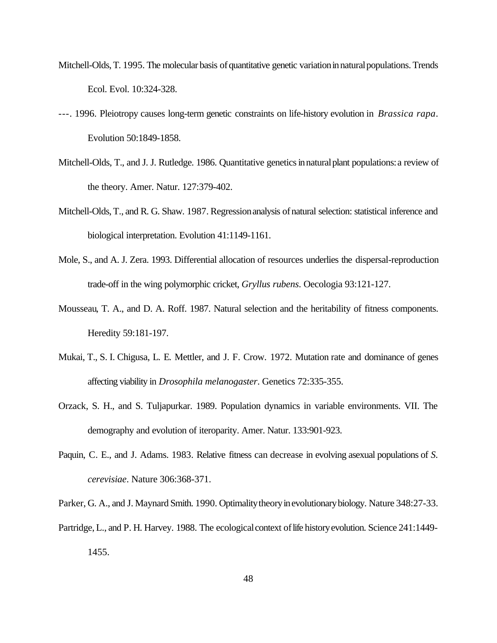- Mitchell-Olds, T. 1995. The molecular basis of quantitative genetic variation in natural populations. Trends Ecol. Evol. 10:324-328.
- ---. 1996. Pleiotropy causes long-term genetic constraints on life-history evolution in *Brassica rapa*. Evolution 50:1849-1858.
- Mitchell-Olds, T., and J. J. Rutledge. 1986. Quantitative geneticsinnaturalplant populations:a review of the theory. Amer. Natur. 127:379-402.
- Mitchell-Olds, T., and R. G. Shaw. 1987. Regressionanalysis ofnatural selection: statistical inference and biological interpretation. Evolution 41:1149-1161.
- Mole, S., and A. J. Zera. 1993. Differential allocation of resources underlies the dispersal-reproduction trade-off in the wing polymorphic cricket, *Gryllus rubens*. Oecologia 93:121-127.
- Mousseau, T. A., and D. A. Roff. 1987. Natural selection and the heritability of fitness components. Heredity 59:181-197.
- Mukai, T., S. I. Chigusa, L. E. Mettler, and J. F. Crow. 1972. Mutation rate and dominance of genes affecting viability in *Drosophila melanogaster*. Genetics 72:335-355.
- Orzack, S. H., and S. Tuljapurkar. 1989. Population dynamics in variable environments. VII. The demography and evolution of iteroparity. Amer. Natur. 133:901-923.
- Paquin, C. E., and J. Adams. 1983. Relative fitness can decrease in evolving asexual populations of *S. cerevisiae*. Nature 306:368-371.
- Parker, G. A., and J. Maynard Smith. 1990. Optimalitytheoryinevolutionarybiology. Nature 348:27-33.
- Partridge, L., and P. H. Harvey. 1988. The ecological context of life history evolution. Science 241:1449-1455.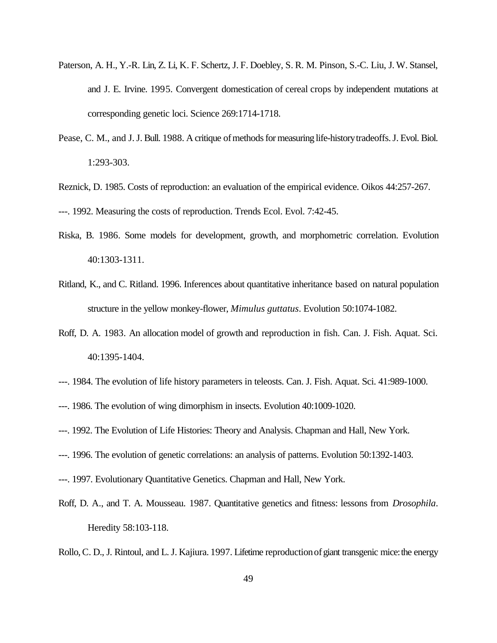- Paterson, A. H., Y.-R. Lin, Z. Li, K. F. Schertz, J. F. Doebley, S. R. M. Pinson, S.-C. Liu, J. W. Stansel, and J. E. Irvine. 1995. Convergent domestication of cereal crops by independent mutations at corresponding genetic loci. Science 269:1714-1718.
- Pease, C. M., and J. J. Bull. 1988. A critique of methods for measuring life-history tradeoffs. J. Evol. Biol. 1:293-303.
- Reznick, D. 1985. Costs of reproduction: an evaluation of the empirical evidence. Oikos 44:257-267.
- ---. 1992. Measuring the costs of reproduction. Trends Ecol. Evol. 7:42-45.
- Riska, B. 1986. Some models for development, growth, and morphometric correlation. Evolution 40:1303-1311.
- Ritland, K., and C. Ritland. 1996. Inferences about quantitative inheritance based on natural population structure in the yellow monkey-flower, *Mimulus guttatus*. Evolution 50:1074-1082.
- Roff, D. A. 1983. An allocation model of growth and reproduction in fish. Can. J. Fish. Aquat. Sci. 40:1395-1404.
- ---. 1984. The evolution of life history parameters in teleosts. Can. J. Fish. Aquat. Sci. 41:989-1000.
- ---. 1986. The evolution of wing dimorphism in insects. Evolution 40:1009-1020.
- ---. 1992. The Evolution of Life Histories: Theory and Analysis. Chapman and Hall, New York.
- ---. 1996. The evolution of genetic correlations: an analysis of patterns. Evolution 50:1392-1403.
- ---. 1997. Evolutionary Quantitative Genetics. Chapman and Hall, New York.
- Roff, D. A., and T. A. Mousseau. 1987. Quantitative genetics and fitness: lessons from *Drosophila*. Heredity 58:103-118.

Rollo, C. D., J. Rintoul, and L. J. Kajiura. 1997. Lifetime reproduction of giant transgenic mice: the energy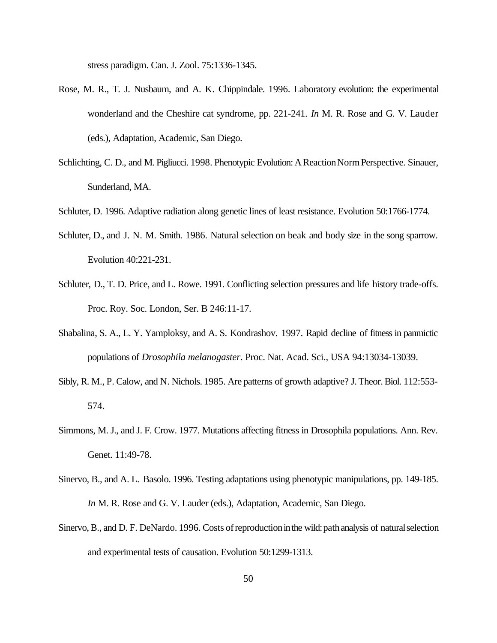stress paradigm. Can. J. Zool. 75:1336-1345.

- Rose, M. R., T. J. Nusbaum, and A. K. Chippindale. 1996. Laboratory evolution: the experimental wonderland and the Cheshire cat syndrome, pp. 221-241. *In* M. R. Rose and G. V. Lauder (eds.), Adaptation, Academic, San Diego.
- Schlichting, C. D., and M. Pigliucci. 1998. Phenotypic Evolution: A Reaction Norm Perspective. Sinauer, Sunderland, MA.
- Schluter, D. 1996. Adaptive radiation along genetic lines of least resistance. Evolution 50:1766-1774.
- Schluter, D., and J. N. M. Smith. 1986. Natural selection on beak and body size in the song sparrow. Evolution 40:221-231.
- Schluter, D., T. D. Price, and L. Rowe. 1991. Conflicting selection pressures and life history trade-offs. Proc. Roy. Soc. London, Ser. B 246:11-17.
- Shabalina, S. A., L. Y. Yamploksy, and A. S. Kondrashov. 1997. Rapid decline of fitness in panmictic populations of *Drosophila melanogaster*. Proc. Nat. Acad. Sci., USA 94:13034-13039.
- Sibly, R. M., P. Calow, and N. Nichols. 1985. Are patterns of growth adaptive? J. Theor. Biol. 112:553-574.
- Simmons, M. J., and J. F. Crow. 1977. Mutations affecting fitness in Drosophila populations. Ann. Rev. Genet. 11:49-78.
- Sinervo, B., and A. L. Basolo. 1996. Testing adaptations using phenotypic manipulations, pp. 149-185. *In* M. R. Rose and G. V. Lauder (eds.), Adaptation, Academic, San Diego.
- Sinervo, B., and D. F. DeNardo. 1996. Costs of reproduction in the wild: path analysis of natural selection and experimental tests of causation. Evolution 50:1299-1313.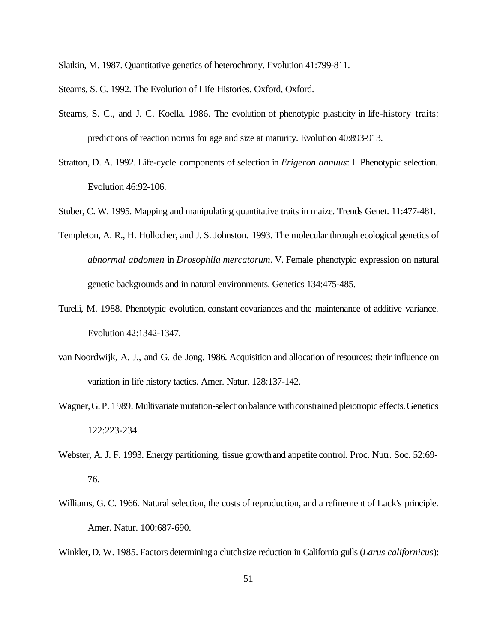Slatkin, M. 1987. Quantitative genetics of heterochrony. Evolution 41:799-811.

Stearns, S. C. 1992. The Evolution of Life Histories. Oxford, Oxford.

- Stearns, S. C., and J. C. Koella. 1986. The evolution of phenotypic plasticity in life-history traits: predictions of reaction norms for age and size at maturity. Evolution 40:893-913.
- Stratton, D. A. 1992. Life-cycle components of selection in *Erigeron annuus*: I. Phenotypic selection. Evolution 46:92-106.

Stuber, C. W. 1995. Mapping and manipulating quantitative traits in maize. Trends Genet. 11:477-481.

- Templeton, A. R., H. Hollocher, and J. S. Johnston. 1993. The molecular through ecological genetics of *abnormal abdomen* in *Drosophila mercatorum*. V. Female phenotypic expression on natural genetic backgrounds and in natural environments. Genetics 134:475-485.
- Turelli, M. 1988. Phenotypic evolution, constant covariances and the maintenance of additive variance. Evolution 42:1342-1347.
- van Noordwijk, A. J., and G. de Jong. 1986. Acquisition and allocation of resources: their influence on variation in life history tactics. Amer. Natur. 128:137-142.
- Wagner, G.P. 1989. Multivariate mutation-selection balance with constrained pleiotropic effects. Genetics 122:223-234.
- Webster, A. J. F. 1993. Energy partitioning, tissue growthand appetite control. Proc. Nutr. Soc. 52:69- 76.
- Williams, G. C. 1966. Natural selection, the costs of reproduction, and a refinement of Lack's principle. Amer. Natur. 100:687-690.

Winkler, D. W. 1985. Factors determining a clutchsize reduction in California gulls (*Larus californicus*):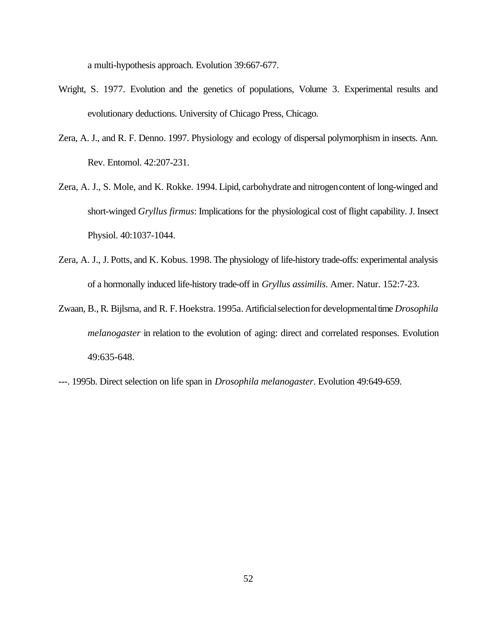a multi-hypothesis approach. Evolution 39:667-677.

- Wright, S. 1977. Evolution and the genetics of populations, Volume 3. Experimental results and evolutionary deductions. University of Chicago Press, Chicago.
- Zera, A. J., and R. F. Denno. 1997. Physiology and ecology of dispersal polymorphism in insects. Ann. Rev. Entomol. 42:207-231.
- Zera, A. J., S. Mole, and K. Rokke. 1994. Lipid, carbohydrate and nitrogencontent of long-winged and short-winged *Gryllus firmus*: Implications for the physiological cost of flight capability. J. Insect Physiol. 40:1037-1044.
- Zera, A. J., J. Potts, and K. Kobus. 1998. The physiology of life-history trade-offs: experimental analysis of a hormonally induced life-history trade-off in *Gryllus assimilis*. Amer. Natur. 152:7-23.
- Zwaan, B., R. Bijlsma, and R. F. Hoekstra. 1995a. Artificialselectionfor developmentaltime *Drosophila melanogaster* in relation to the evolution of aging: direct and correlated responses. Evolution 49:635-648.
- ---. 1995b. Direct selection on life span in *Drosophila melanogaster*. Evolution 49:649-659.